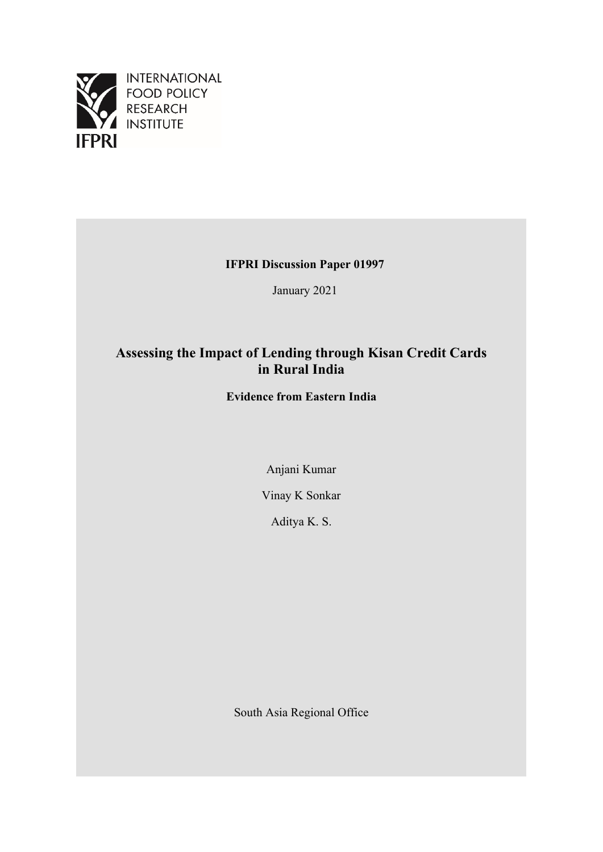

**IFPRI Discussion Paper 01997**

January 2021

## **Assessing the Impact of Lending through Kisan Credit Cards in Rural India**

**Evidence from Eastern India**

Anjani Kumar

Vinay K Sonkar

Aditya K. S.

South Asia Regional Office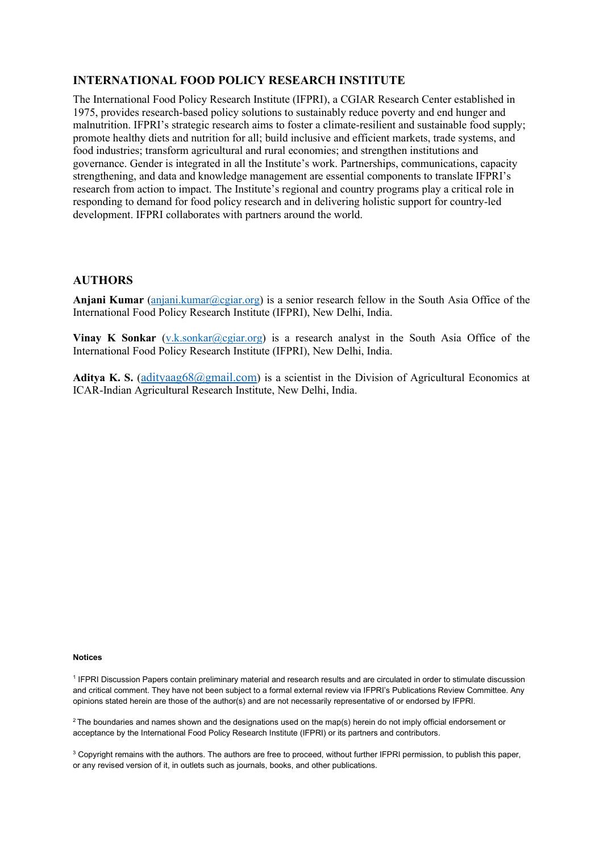### **INTERNATIONAL FOOD POLICY RESEARCH INSTITUTE**

The International Food Policy Research Institute (IFPRI), a CGIAR Research Center established in 1975, provides research-based policy solutions to sustainably reduce poverty and end hunger and malnutrition. IFPRI's strategic research aims to foster a climate-resilient and sustainable food supply; promote healthy diets and nutrition for all; build inclusive and efficient markets, trade systems, and food industries; transform agricultural and rural economies; and strengthen institutions and governance. Gender is integrated in all the Institute's work. Partnerships, communications, capacity strengthening, and data and knowledge management are essential components to translate IFPRI's research from action to impact. The Institute's regional and country programs play a critical role in responding to demand for food policy research and in delivering holistic support for country-led development. IFPRI collaborates with partners around the world.

#### **AUTHORS**

**Anjani Kumar** [\(anjani.kumar@cgiar.org\)](mailto:anjani.kumar@cgiar.org) is a senior research fellow in the South Asia Office of the International Food Policy Research Institute (IFPRI), New Delhi, India.

**Vinay K Sonkar** [\(v.k.sonkar@cgiar.org\)](mailto:v.k.sonkar@cgiar.org) is a research analyst in the South Asia Office of the International Food Policy Research Institute (IFPRI), New Delhi, India.

Aditya K. S. [\(adityaag68@gmail.com\)](mailto:adityaag68@gmail.com) is a scientist in the Division of Agricultural Economics at ICAR-Indian Agricultural Research Institute, New Delhi, India.

#### **Notices**

<sup>1</sup> IFPRI Discussion Papers contain preliminary material and research results and are circulated in order to stimulate discussion and critical comment. They have not been subject to a formal external review via IFPRI's Publications Review Committee. Any opinions stated herein are those of the author(s) and are not necessarily representative of or endorsed by IFPRI.

 $2$  The boundaries and names shown and the designations used on the map(s) herein do not imply official endorsement or acceptance by the International Food Policy Research Institute (IFPRI) or its partners and contributors.

<sup>3</sup> Copyright remains with the authors. The authors are free to proceed, without further IFPRI permission, to publish this paper, or any revised version of it, in outlets such as journals, books, and other publications.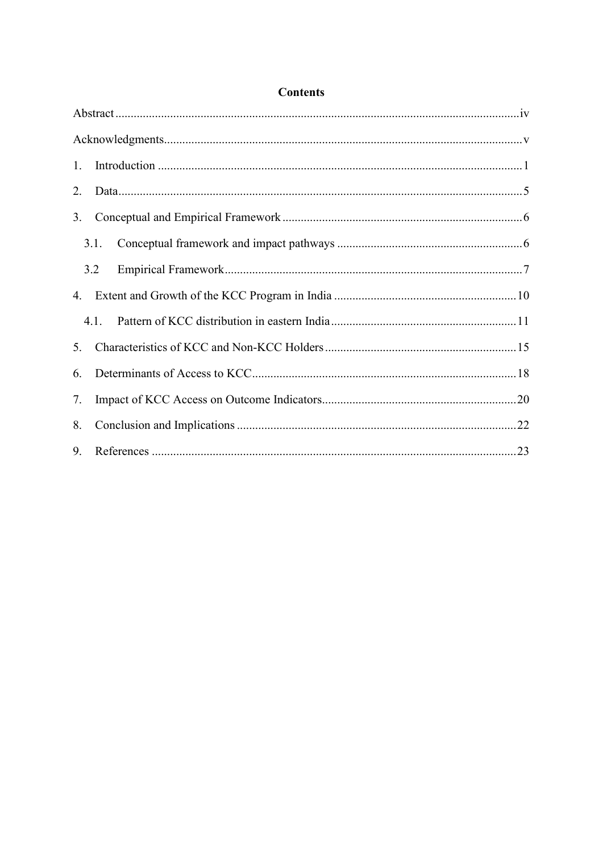| 1. |      |  |
|----|------|--|
| 2. |      |  |
| 3. |      |  |
|    | 3.1. |  |
|    | 3.2  |  |
|    |      |  |
|    | 4.1. |  |
| 5. |      |  |
| 6. |      |  |
| 7. |      |  |
| 8. |      |  |
| 9. |      |  |

## **Contents**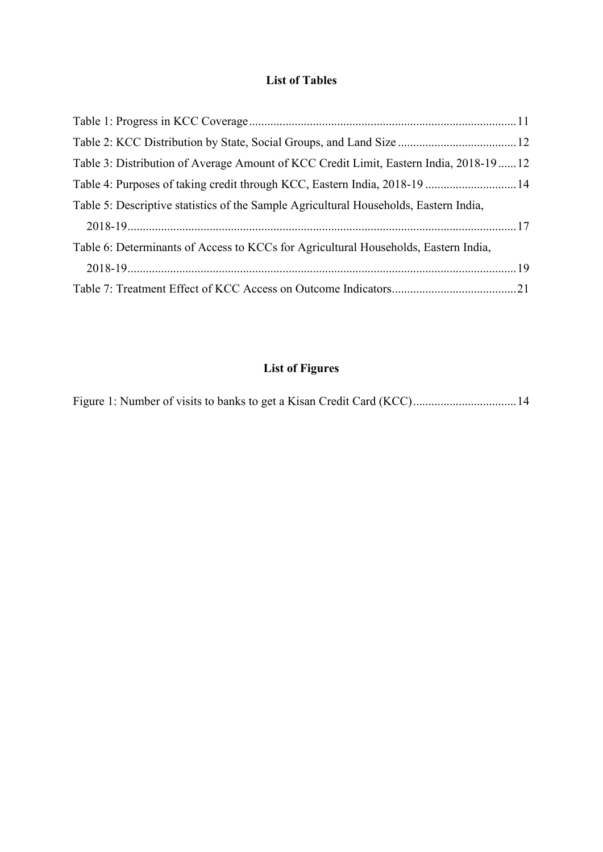## **List of Tables**

| Table 3: Distribution of Average Amount of KCC Credit Limit, Eastern India, 2018-19  12 |  |
|-----------------------------------------------------------------------------------------|--|
| Table 4: Purposes of taking credit through KCC, Eastern India, 2018-19  14              |  |
| Table 5: Descriptive statistics of the Sample Agricultural Households, Eastern India,   |  |
|                                                                                         |  |
| Table 6: Determinants of Access to KCCs for Agricultural Households, Eastern India,     |  |
|                                                                                         |  |
|                                                                                         |  |

## **List of Figures**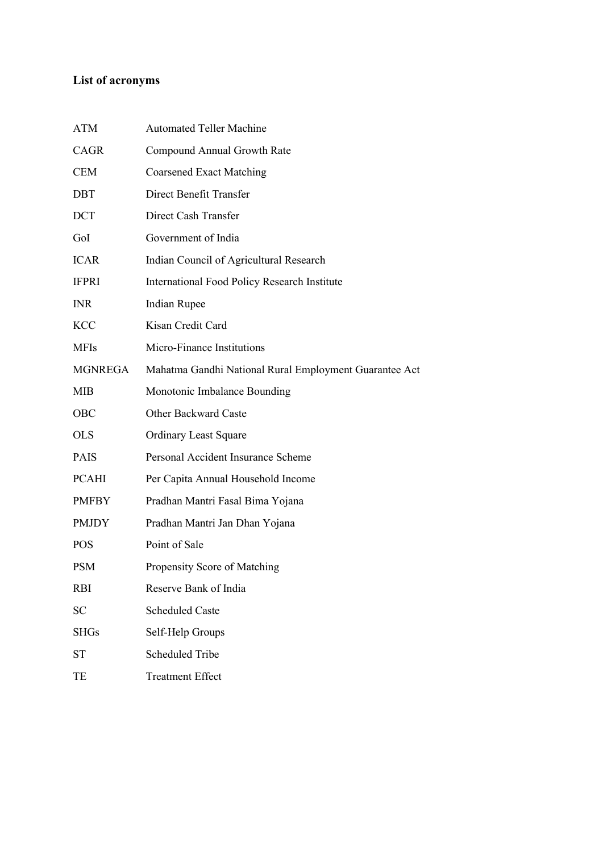# **List of acronyms**

| ATM            | <b>Automated Teller Machine</b>                        |
|----------------|--------------------------------------------------------|
| CAGR           | Compound Annual Growth Rate                            |
| <b>CEM</b>     | <b>Coarsened Exact Matching</b>                        |
| <b>DBT</b>     | Direct Benefit Transfer                                |
| <b>DCT</b>     | Direct Cash Transfer                                   |
| GoI            | Government of India                                    |
| <b>ICAR</b>    | Indian Council of Agricultural Research                |
| <b>IFPRI</b>   | <b>International Food Policy Research Institute</b>    |
| <b>INR</b>     | <b>Indian Rupee</b>                                    |
| <b>KCC</b>     | Kisan Credit Card                                      |
| <b>MFIs</b>    | Micro-Finance Institutions                             |
| <b>MGNREGA</b> | Mahatma Gandhi National Rural Employment Guarantee Act |
| <b>MIB</b>     | Monotonic Imbalance Bounding                           |
| OBC            | <b>Other Backward Caste</b>                            |
| <b>OLS</b>     | <b>Ordinary Least Square</b>                           |
| <b>PAIS</b>    | Personal Accident Insurance Scheme                     |
| <b>PCAHI</b>   | Per Capita Annual Household Income                     |
| <b>PMFBY</b>   | Pradhan Mantri Fasal Bima Yojana                       |
| <b>PMJDY</b>   | Pradhan Mantri Jan Dhan Yojana                         |
| <b>POS</b>     | Point of Sale                                          |
| PSM            | Propensity Score of Matching                           |
| <b>RBI</b>     | Reserve Bank of India                                  |
| <b>SC</b>      | <b>Scheduled Caste</b>                                 |
| <b>SHGs</b>    | Self-Help Groups                                       |
| <b>ST</b>      | <b>Scheduled Tribe</b>                                 |
| TE             | <b>Treatment Effect</b>                                |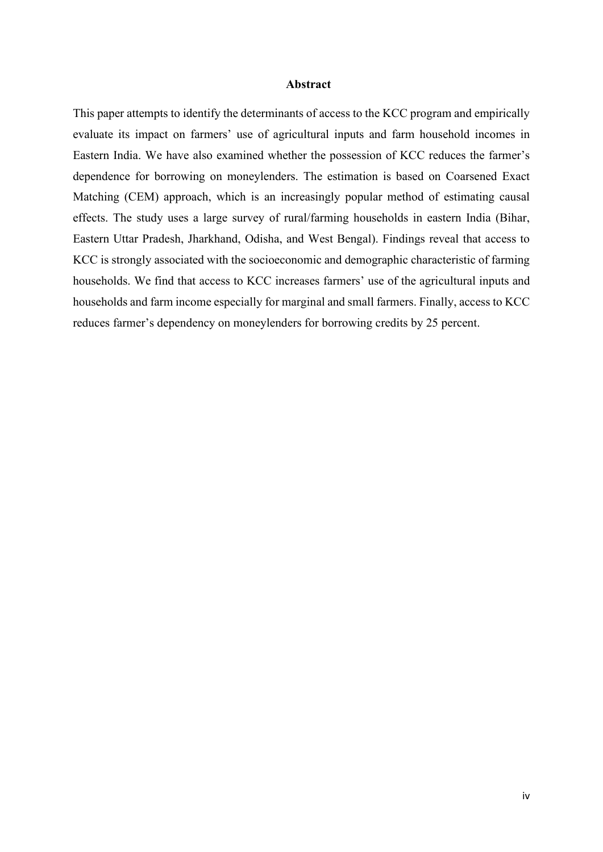#### **Abstract**

<span id="page-5-0"></span>This paper attempts to identify the determinants of access to the KCC program and empirically evaluate its impact on farmers' use of agricultural inputs and farm household incomes in Eastern India. We have also examined whether the possession of KCC reduces the farmer's dependence for borrowing on moneylenders. The estimation is based on Coarsened Exact Matching (CEM) approach, which is an increasingly popular method of estimating causal effects. The study uses a large survey of rural/farming households in eastern India (Bihar, Eastern Uttar Pradesh, Jharkhand, Odisha, and West Bengal). Findings reveal that access to KCC is strongly associated with the socioeconomic and demographic characteristic of farming households. We find that access to KCC increases farmers' use of the agricultural inputs and households and farm income especially for marginal and small farmers. Finally, access to KCC reduces farmer's dependency on moneylenders for borrowing credits by 25 percent.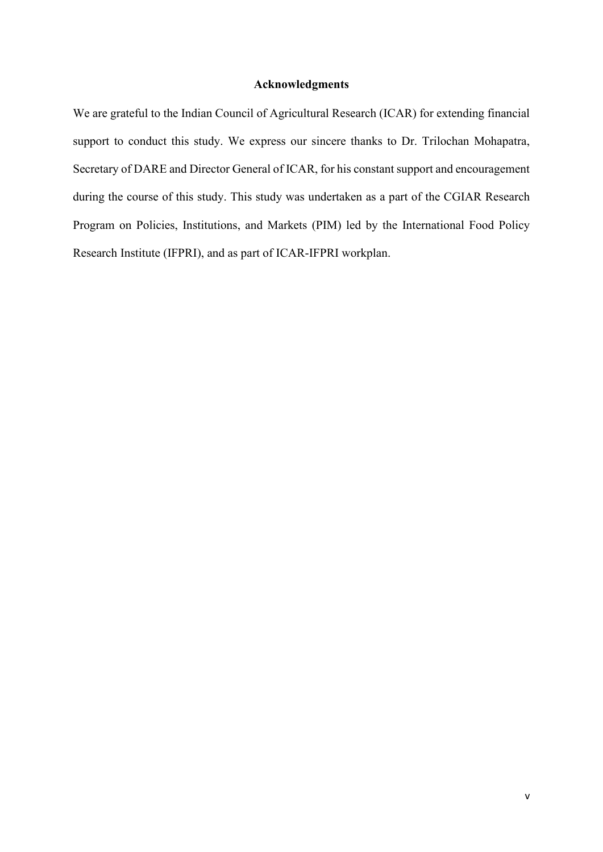#### **Acknowledgments**

<span id="page-6-0"></span>We are grateful to the Indian Council of Agricultural Research (ICAR) for extending financial support to conduct this study. We express our sincere thanks to Dr. Trilochan Mohapatra, Secretary of DARE and Director General of ICAR, for his constant support and encouragement during the course of this study. This study was undertaken as a part of the CGIAR Research Program on Policies, Institutions, and Markets (PIM) led by the International Food Policy Research Institute (IFPRI), and as part of ICAR-IFPRI workplan.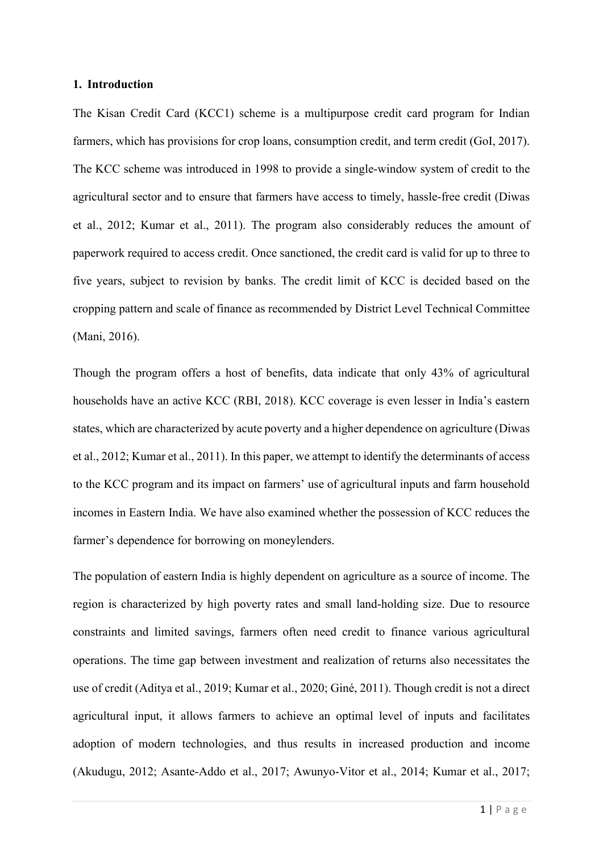#### <span id="page-7-0"></span>**1. Introduction**

The Kisan Credit Card (KCC1) scheme is a multipurpose credit card program for Indian farmers, which has provisions for crop loans, consumption credit, and term credit (GoI, 2017). The KCC scheme was introduced in 1998 to provide a single-window system of credit to the agricultural sector and to ensure that farmers have access to timely, hassle-free credit (Diwas et al., 2012; Kumar et al., 2011). The program also considerably reduces the amount of paperwork required to access credit. Once sanctioned, the credit card is valid for up to three to five years, subject to revision by banks. The credit limit of KCC is decided based on the cropping pattern and scale of finance as recommended by District Level Technical Committee (Mani, 2016).

Though the program offers a host of benefits, data indicate that only 43% of agricultural households have an active KCC (RBI, 2018). KCC coverage is even lesser in India's eastern states, which are characterized by acute poverty and a higher dependence on agriculture (Diwas et al., 2012; Kumar et al., 2011). In this paper, we attempt to identify the determinants of access to the KCC program and its impact on farmers' use of agricultural inputs and farm household incomes in Eastern India. We have also examined whether the possession of KCC reduces the farmer's dependence for borrowing on moneylenders.

The population of eastern India is highly dependent on agriculture as a source of income. The region is characterized by high poverty rates and small land-holding size. Due to resource constraints and limited savings, farmers often need credit to finance various agricultural operations. The time gap between investment and realization of returns also necessitates the use of credit (Aditya et al., 2019; Kumar et al., 2020; Giné, 2011). Though credit is not a direct agricultural input, it allows farmers to achieve an optimal level of inputs and facilitates adoption of modern technologies, and thus results in increased production and income (Akudugu, 2012; Asante-Addo et al., 2017; Awunyo-Vitor et al., 2014; Kumar et al., 2017;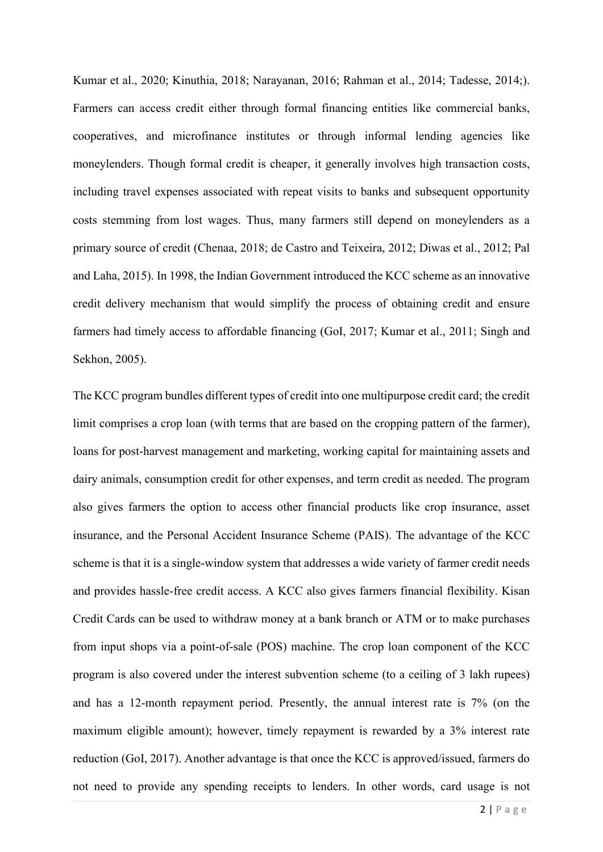Kumar et al., 2020; Kinuthia, 2018; Narayanan, 2016; Rahman et al., 2014; Tadesse, 2014;). Farmers can access credit either through formal financing entities like commercial banks, cooperatives, and microfinance institutes or through informal lending agencies like moneylenders. Though formal credit is cheaper, it generally involves high transaction costs, including travel expenses associated with repeat visits to banks and subsequent opportunity costs stemming from lost wages. Thus, many farmers still depend on moneylenders as a primary source of credit (Chenaa, 2018; de Castro and Teixeira, 2012; Diwas et al., 2012; Pal and Laha, 2015). In 1998, the Indian Government introduced the KCC scheme as an innovative credit delivery mechanism that would simplify the process of obtaining credit and ensure farmers had timely access to affordable financing (GoI, 2017; Kumar et al., 2011; Singh and Sekhon, 2005).

The KCC program bundles different types of credit into one multipurpose credit card; the credit limit comprises a crop loan (with terms that are based on the cropping pattern of the farmer), loans for post-harvest management and marketing, working capital for maintaining assets and dairy animals, consumption credit for other expenses, and term credit as needed. The program also gives farmers the option to access other financial products like crop insurance, asset insurance, and the Personal Accident Insurance Scheme (PAIS). The advantage of the KCC scheme is that it is a single-window system that addresses a wide variety of farmer credit needs and provides hassle-free credit access. A KCC also gives farmers financial flexibility. Kisan Credit Cards can be used to withdraw money at a bank branch or ATM or to make purchases from input shops via a point-of-sale (POS) machine. The crop loan component of the KCC program is also covered under the interest subvention scheme (to a ceiling of 3 lakh rupees) and has a 12-month repayment period. Presently, the annual interest rate is 7% (on the maximum eligible amount); however, timely repayment is rewarded by a 3% interest rate reduction (GoI, 2017). Another advantage is that once the KCC is approved/issued, farmers do not need to provide any spending receipts to lenders. In other words, card usage is not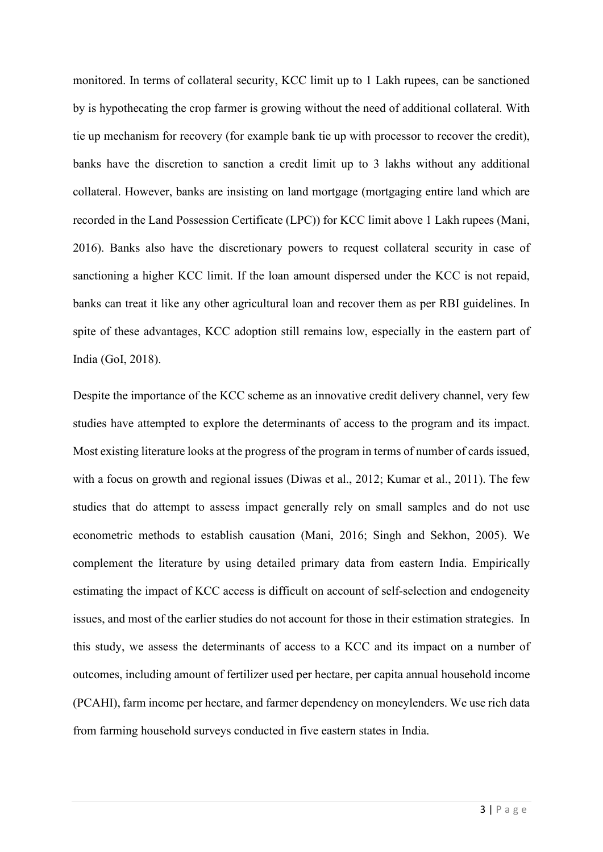monitored. In terms of collateral security, KCC limit up to 1 Lakh rupees, can be sanctioned by is hypothecating the crop farmer is growing without the need of additional collateral. With tie up mechanism for recovery (for example bank tie up with processor to recover the credit), banks have the discretion to sanction a credit limit up to 3 lakhs without any additional collateral. However, banks are insisting on land mortgage (mortgaging entire land which are recorded in the Land Possession Certificate (LPC)) for KCC limit above 1 Lakh rupees (Mani, 2016). Banks also have the discretionary powers to request collateral security in case of sanctioning a higher KCC limit. If the loan amount dispersed under the KCC is not repaid, banks can treat it like any other agricultural loan and recover them as per RBI guidelines. In spite of these advantages, KCC adoption still remains low, especially in the eastern part of India (GoI, 2018).

Despite the importance of the KCC scheme as an innovative credit delivery channel, very few studies have attempted to explore the determinants of access to the program and its impact. Most existing literature looks at the progress of the program in terms of number of cards issued, with a focus on growth and regional issues (Diwas et al., 2012; Kumar et al., 2011). The few studies that do attempt to assess impact generally rely on small samples and do not use econometric methods to establish causation (Mani, 2016; Singh and Sekhon, 2005). We complement the literature by using detailed primary data from eastern India. Empirically estimating the impact of KCC access is difficult on account of self-selection and endogeneity issues, and most of the earlier studies do not account for those in their estimation strategies. In this study, we assess the determinants of access to a KCC and its impact on a number of outcomes, including amount of fertilizer used per hectare, per capita annual household income (PCAHI), farm income per hectare, and farmer dependency on moneylenders. We use rich data from farming household surveys conducted in five eastern states in India.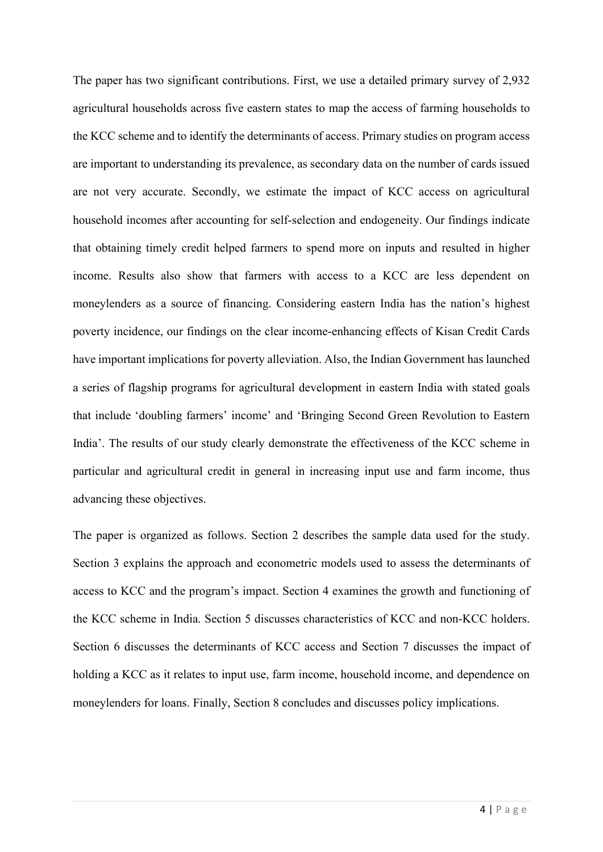The paper has two significant contributions. First, we use a detailed primary survey of 2,932 agricultural households across five eastern states to map the access of farming households to the KCC scheme and to identify the determinants of access. Primary studies on program access are important to understanding its prevalence, as secondary data on the number of cards issued are not very accurate. Secondly, we estimate the impact of KCC access on agricultural household incomes after accounting for self-selection and endogeneity. Our findings indicate that obtaining timely credit helped farmers to spend more on inputs and resulted in higher income. Results also show that farmers with access to a KCC are less dependent on moneylenders as a source of financing. Considering eastern India has the nation's highest poverty incidence, our findings on the clear income-enhancing effects of Kisan Credit Cards have important implications for poverty alleviation. Also, the Indian Government has launched a series of flagship programs for agricultural development in eastern India with stated goals that include 'doubling farmers' income' and 'Bringing Second Green Revolution to Eastern India'. The results of our study clearly demonstrate the effectiveness of the KCC scheme in particular and agricultural credit in general in increasing input use and farm income, thus advancing these objectives.

The paper is organized as follows. Section 2 describes the sample data used for the study. Section 3 explains the approach and econometric models used to assess the determinants of access to KCC and the program's impact. Section 4 examines the growth and functioning of the KCC scheme in India. Section 5 discusses characteristics of KCC and non-KCC holders. Section 6 discusses the determinants of KCC access and Section 7 discusses the impact of holding a KCC as it relates to input use, farm income, household income, and dependence on moneylenders for loans. Finally, Section 8 concludes and discusses policy implications.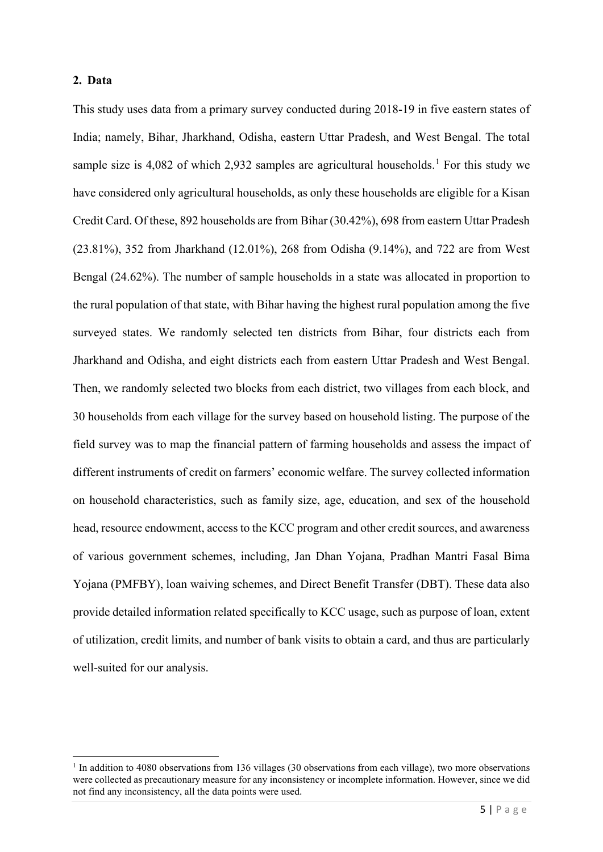#### <span id="page-11-0"></span>**2. Data**

This study uses data from a primary survey conducted during 2018-19 in five eastern states of India; namely, Bihar, Jharkhand, Odisha, eastern Uttar Pradesh, and West Bengal. The total sample size is 4,082 of which 2,932 samples are agricultural households.<sup>[1](#page-11-1)</sup> For this study we have considered only agricultural households, as only these households are eligible for a Kisan Credit Card. Of these, 892 households are from Bihar (30.42%), 698 from eastern Uttar Pradesh (23.81%), 352 from Jharkhand (12.01%), 268 from Odisha (9.14%), and 722 are from West Bengal (24.62%). The number of sample households in a state was allocated in proportion to the rural population of that state, with Bihar having the highest rural population among the five surveyed states. We randomly selected ten districts from Bihar, four districts each from Jharkhand and Odisha, and eight districts each from eastern Uttar Pradesh and West Bengal. Then, we randomly selected two blocks from each district, two villages from each block, and 30 households from each village for the survey based on household listing. The purpose of the field survey was to map the financial pattern of farming households and assess the impact of different instruments of credit on farmers' economic welfare. The survey collected information on household characteristics, such as family size, age, education, and sex of the household head, resource endowment, access to the KCC program and other credit sources, and awareness of various government schemes, including, Jan Dhan Yojana, Pradhan Mantri Fasal Bima Yojana (PMFBY), loan waiving schemes, and Direct Benefit Transfer (DBT). These data also provide detailed information related specifically to KCC usage, such as purpose of loan, extent of utilization, credit limits, and number of bank visits to obtain a card, and thus are particularly well-suited for our analysis.

<span id="page-11-1"></span> $1$  In addition to 4080 observations from 136 villages (30 observations from each village), two more observations were collected as precautionary measure for any inconsistency or incomplete information. However, since we did not find any inconsistency, all the data points were used.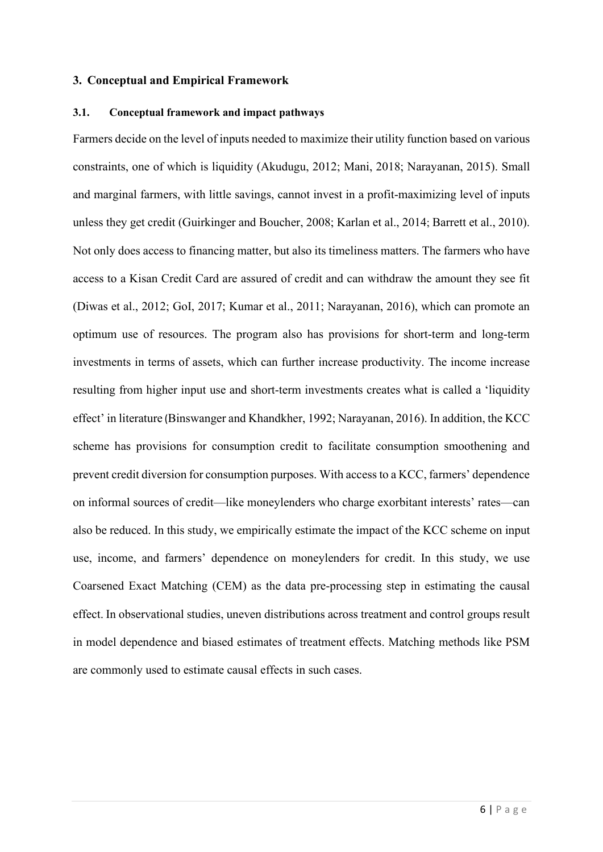#### <span id="page-12-0"></span>**3. Conceptual and Empirical Framework**

#### <span id="page-12-1"></span>**3.1. Conceptual framework and impact pathways**

Farmers decide on the level of inputs needed to maximize their utility function based on various constraints, one of which is liquidity (Akudugu, 2012; Mani, 2018; Narayanan, 2015). Small and marginal farmers, with little savings, cannot invest in a profit-maximizing level of inputs unless they get credit (Guirkinger and Boucher, 2008; Karlan et al., 2014; Barrett et al., 2010). Not only does access to financing matter, but also its timeliness matters. The farmers who have access to a Kisan Credit Card are assured of credit and can withdraw the amount they see fit (Diwas et al., 2012; GoI, 2017; Kumar et al., 2011; Narayanan, 2016), which can promote an optimum use of resources. The program also has provisions for short-term and long-term investments in terms of assets, which can further increase productivity. The income increase resulting from higher input use and short-term investments creates what is called a 'liquidity effect' in literature (Binswanger and Khandkher, 1992; Narayanan, 2016). In addition, the KCC scheme has provisions for consumption credit to facilitate consumption smoothening and prevent credit diversion for consumption purposes. With access to a KCC, farmers' dependence on informal sources of credit—like moneylenders who charge exorbitant interests' rates—can also be reduced. In this study, we empirically estimate the impact of the KCC scheme on input use, income, and farmers' dependence on moneylenders for credit. In this study, we use Coarsened Exact Matching (CEM) as the data pre-processing step in estimating the causal effect. In observational studies, uneven distributions across treatment and control groups result in model dependence and biased estimates of treatment effects. Matching methods like PSM are commonly used to estimate causal effects in such cases.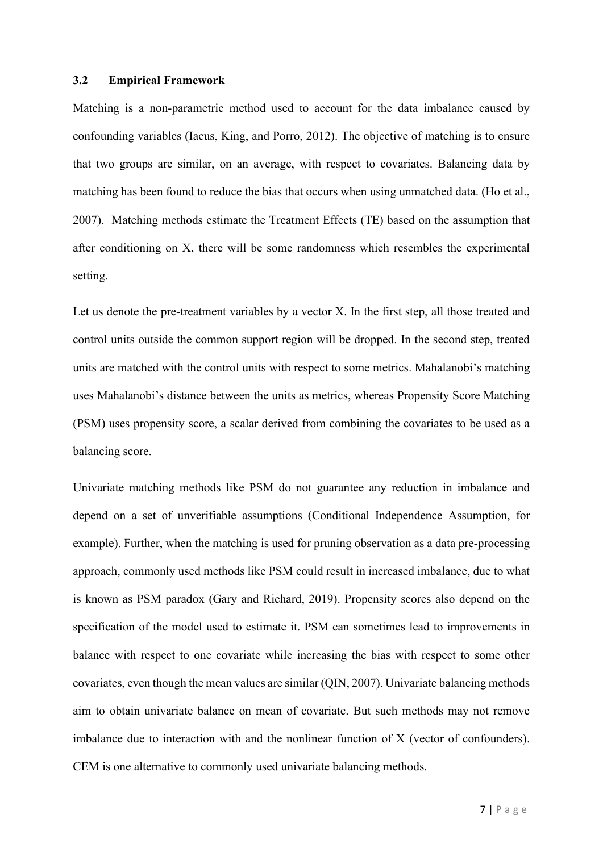#### <span id="page-13-0"></span>**3.2 Empirical Framework**

Matching is a non-parametric method used to account for the data imbalance caused by confounding variables (Iacus, King, and Porro, 2012). The objective of matching is to ensure that two groups are similar, on an average, with respect to covariates. Balancing data by matching has been found to reduce the bias that occurs when using unmatched data. (Ho et al., 2007). Matching methods estimate the Treatment Effects (TE) based on the assumption that after conditioning on X, there will be some randomness which resembles the experimental setting.

Let us denote the pre-treatment variables by a vector X. In the first step, all those treated and control units outside the common support region will be dropped. In the second step, treated units are matched with the control units with respect to some metrics. Mahalanobi's matching uses Mahalanobi's distance between the units as metrics, whereas Propensity Score Matching (PSM) uses propensity score, a scalar derived from combining the covariates to be used as a balancing score.

Univariate matching methods like PSM do not guarantee any reduction in imbalance and depend on a set of unverifiable assumptions (Conditional Independence Assumption, for example). Further, when the matching is used for pruning observation as a data pre-processing approach, commonly used methods like PSM could result in increased imbalance, due to what is known as PSM paradox (Gary and Richard, 2019). Propensity scores also depend on the specification of the model used to estimate it. PSM can sometimes lead to improvements in balance with respect to one covariate while increasing the bias with respect to some other covariates, even though the mean values are similar (QIN, 2007). Univariate balancing methods aim to obtain univariate balance on mean of covariate. But such methods may not remove imbalance due to interaction with and the nonlinear function of X (vector of confounders). CEM is one alternative to commonly used univariate balancing methods.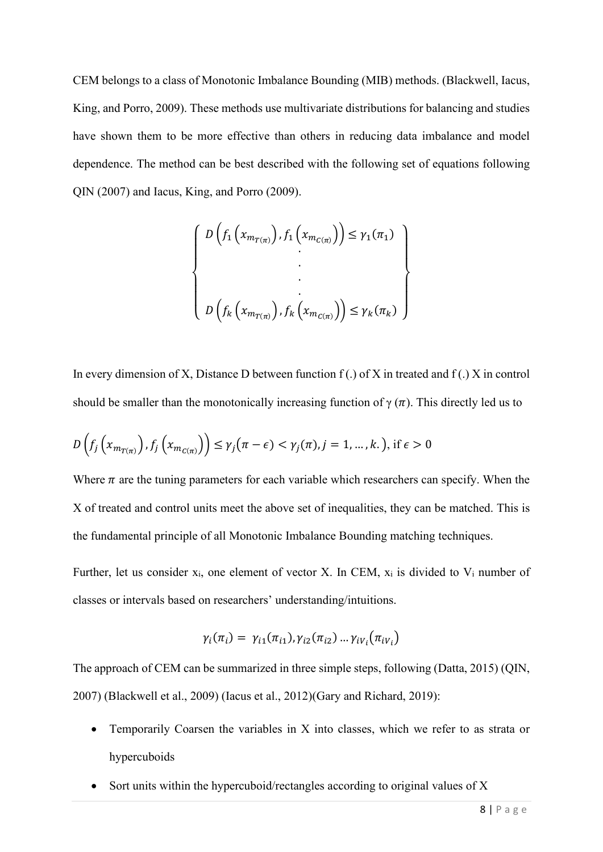CEM belongs to a class of Monotonic Imbalance Bounding (MIB) methods. (Blackwell, Iacus, King, and Porro, 2009). These methods use multivariate distributions for balancing and studies have shown them to be more effective than others in reducing data imbalance and model dependence. The method can be best described with the following set of equations following QIN (2007) and Iacus, King, and Porro (2009).

$$
\left\{\n\begin{array}{c}\nD\left(f_1\left(x_{m_{T(\pi)}}\right), f_1\left(x_{m_{C(\pi)}}\right)\right) \leq \gamma_1(\pi_1) \\
\vdots \\
D\left(f_k\left(x_{m_{T(\pi)}}\right), f_k\left(x_{m_{C(\pi)}}\right)\right) \leq \gamma_k(\pi_k)\n\end{array}\n\right\}
$$

In every dimension of X, Distance D between function  $f(.)$  of X in treated and  $f(.)$  X in control should be smaller than the monotonically increasing function of  $\gamma(\pi)$ . This directly led us to

$$
D\left(f_j\left(x_{m_{T(\pi)}}\right), f_j\left(x_{m_{C(\pi)}}\right)\right) \leq \gamma_j(\pi - \epsilon) < \gamma_j(\pi), j = 1, \dots, k. \}, \text{if } \epsilon > 0
$$

Where  $\pi$  are the tuning parameters for each variable which researchers can specify. When the X of treated and control units meet the above set of inequalities, they can be matched. This is the fundamental principle of all Monotonic Imbalance Bounding matching techniques.

Further, let us consider  $x_i$ , one element of vector X. In CEM,  $x_i$  is divided to  $V_i$  number of classes or intervals based on researchers' understanding/intuitions.

$$
\gamma_i(\pi_i) = \gamma_{i1}(\pi_{i1}), \gamma_{i2}(\pi_{i2}) \dots \gamma_{iV_i}(\pi_{iV_i})
$$

The approach of CEM can be summarized in three simple steps, following (Datta, 2015) (QIN, 2007) (Blackwell et al., 2009) (Iacus et al., 2012)(Gary and Richard, 2019):

- Temporarily Coarsen the variables in X into classes, which we refer to as strata or hypercuboids
- Sort units within the hypercuboid/rectangles according to original values of X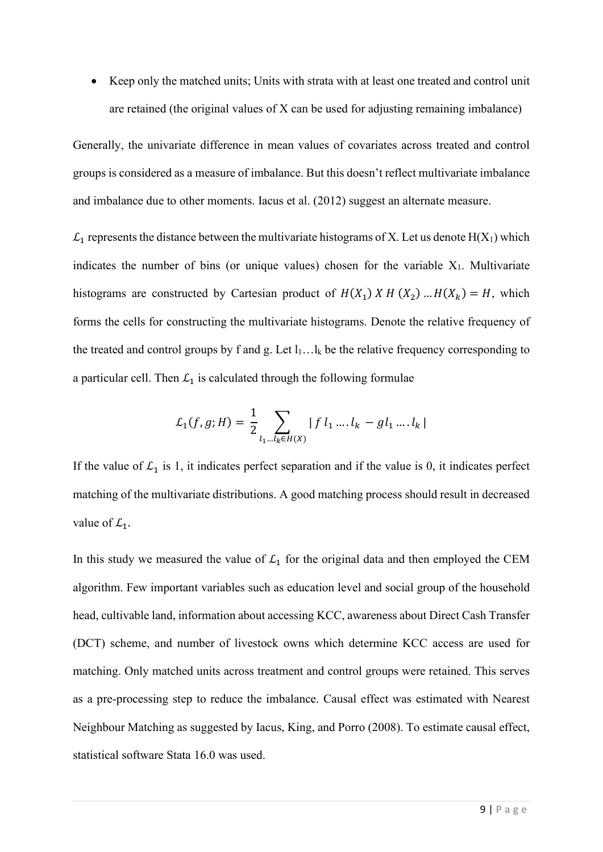• Keep only the matched units; Units with strata with at least one treated and control unit are retained (the original values of X can be used for adjusting remaining imbalance)

Generally, the univariate difference in mean values of covariates across treated and control groups is considered as a measure of imbalance. But this doesn't reflect multivariate imbalance and imbalance due to other moments. Iacus et al. (2012) suggest an alternate measure.

 $\mathcal{L}_1$  represents the distance between the multivariate histograms of X. Let us denote H(X<sub>1</sub>) which indicates the number of bins (or unique values) chosen for the variable  $X_1$ . Multivariate histograms are constructed by Cartesian product of  $H(X_1)$   $X$   $H(X_2)$  ...  $H(X_k) = H$ , which forms the cells for constructing the multivariate histograms. Denote the relative frequency of the treated and control groups by f and g. Let  $l_1...l_k$  be the relative frequency corresponding to a particular cell. Then  $\mathcal{L}_1$  is calculated through the following formulae

$$
\mathcal{L}_1(f, g; H) = \frac{1}{2} \sum_{l_1 \dots l_k \in H(X)} |f l_1 \dots l_k - g l_1 \dots l_k|
$$

If the value of  $\mathcal{L}_1$  is 1, it indicates perfect separation and if the value is 0, it indicates perfect matching of the multivariate distributions. A good matching process should result in decreased value of  $\mathcal{L}_1$ .

In this study we measured the value of  $\mathcal{L}_1$  for the original data and then employed the CEM algorithm. Few important variables such as education level and social group of the household head, cultivable land, information about accessing KCC, awareness about Direct Cash Transfer (DCT) scheme, and number of livestock owns which determine KCC access are used for matching. Only matched units across treatment and control groups were retained. This serves as a pre-processing step to reduce the imbalance. Causal effect was estimated with Nearest Neighbour Matching as suggested by Iacus, King, and Porro (2008). To estimate causal effect, statistical software Stata 16.0 was used.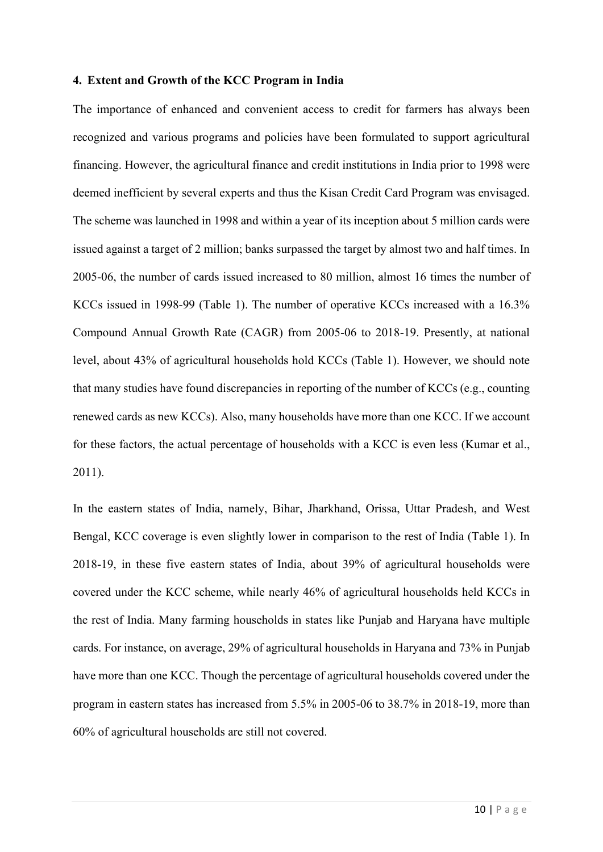#### <span id="page-16-0"></span>**4. Extent and Growth of the KCC Program in India**

The importance of enhanced and convenient access to credit for farmers has always been recognized and various programs and policies have been formulated to support agricultural financing. However, the agricultural finance and credit institutions in India prior to 1998 were deemed inefficient by several experts and thus the Kisan Credit Card Program was envisaged. The scheme was launched in 1998 and within a year of its inception about 5 million cards were issued against a target of 2 million; banks surpassed the target by almost two and half times. In 2005-06, the number of cards issued increased to 80 million, almost 16 times the number of KCCs issued in 1998-99 (Table 1). The number of operative KCCs increased with a 16.3% Compound Annual Growth Rate (CAGR) from 2005-06 to 2018-19. Presently, at national level, about 43% of agricultural households hold KCCs (Table 1). However, we should note that many studies have found discrepancies in reporting of the number of KCCs (e.g., counting renewed cards as new KCCs). Also, many households have more than one KCC. If we account for these factors, the actual percentage of households with a KCC is even less (Kumar et al., 2011).

<span id="page-16-1"></span>In the eastern states of India, namely, Bihar, Jharkhand, Orissa, Uttar Pradesh, and West Bengal, KCC coverage is even slightly lower in comparison to the rest of India (Table 1). In 2018-19, in these five eastern states of India, about 39% of agricultural households were covered under the KCC scheme, while nearly 46% of agricultural households held KCCs in the rest of India. Many farming households in states like Punjab and Haryana have multiple cards. For instance, on average, 29% of agricultural households in Haryana and 73% in Punjab have more than one KCC. Though the percentage of agricultural households covered under the program in eastern states has increased from 5.5% in 2005-06 to 38.7% in 2018-19, more than 60% of agricultural households are still not covered.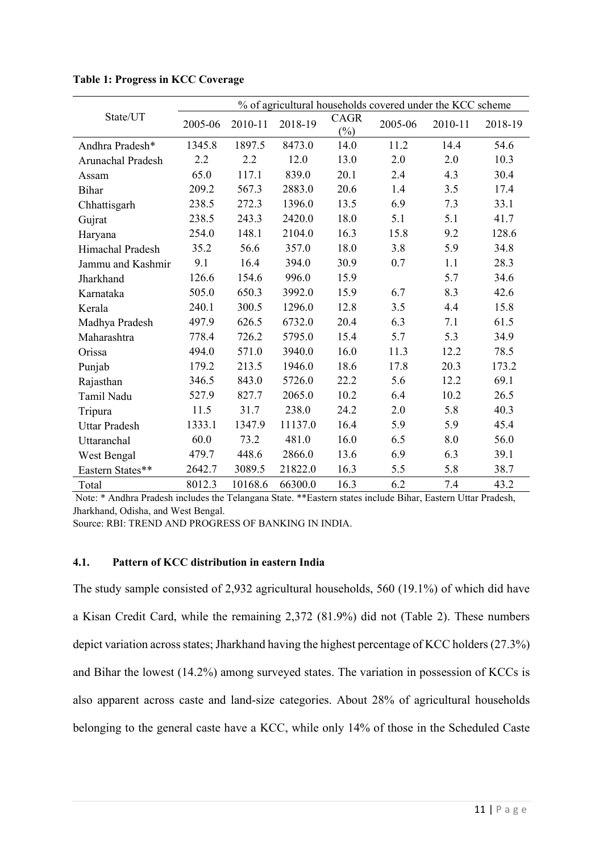|                      | % of agricultural households covered under the KCC scheme |         |         |                |         |         |         |  |
|----------------------|-----------------------------------------------------------|---------|---------|----------------|---------|---------|---------|--|
| State/UT             | 2005-06                                                   | 2010-11 | 2018-19 | CAGR<br>$(\%)$ | 2005-06 | 2010-11 | 2018-19 |  |
| Andhra Pradesh*      | 1345.8                                                    | 1897.5  | 8473.0  | 14.0           | 11.2    | 14.4    | 54.6    |  |
| Arunachal Pradesh    | 2.2                                                       | 2.2     | 12.0    | 13.0           | 2.0     | 2.0     | 10.3    |  |
| Assam                | 65.0                                                      | 117.1   | 839.0   | 20.1           | 2.4     | 4.3     | 30.4    |  |
| <b>Bihar</b>         | 209.2                                                     | 567.3   | 2883.0  | 20.6           | 1.4     | 3.5     | 17.4    |  |
| Chhattisgarh         | 238.5                                                     | 272.3   | 1396.0  | 13.5           | 6.9     | 7.3     | 33.1    |  |
| Gujrat               | 238.5                                                     | 243.3   | 2420.0  | 18.0           | 5.1     | 5.1     | 41.7    |  |
| Haryana              | 254.0                                                     | 148.1   | 2104.0  | 16.3           | 15.8    | 9.2     | 128.6   |  |
| Himachal Pradesh     | 35.2                                                      | 56.6    | 357.0   | 18.0           | 3.8     | 5.9     | 34.8    |  |
| Jammu and Kashmir    | 9.1                                                       | 16.4    | 394.0   | 30.9           | 0.7     | 1.1     | 28.3    |  |
| Jharkhand            | 126.6                                                     | 154.6   | 996.0   | 15.9           |         | 5.7     | 34.6    |  |
| Karnataka            | 505.0                                                     | 650.3   | 3992.0  | 15.9           | 6.7     | 8.3     | 42.6    |  |
| Kerala               | 240.1                                                     | 300.5   | 1296.0  | 12.8           | 3.5     | 4.4     | 15.8    |  |
| Madhya Pradesh       | 497.9                                                     | 626.5   | 6732.0  | 20.4           | 6.3     | 7.1     | 61.5    |  |
| Maharashtra          | 778.4                                                     | 726.2   | 5795.0  | 15.4           | 5.7     | 5.3     | 34.9    |  |
| Orissa               | 494.0                                                     | 571.0   | 3940.0  | 16.0           | 11.3    | 12.2    | 78.5    |  |
| Punjab               | 179.2                                                     | 213.5   | 1946.0  | 18.6           | 17.8    | 20.3    | 173.2   |  |
| Rajasthan            | 346.5                                                     | 843.0   | 5726.0  | 22.2           | 5.6     | 12.2    | 69.1    |  |
| Tamil Nadu           | 527.9                                                     | 827.7   | 2065.0  | 10.2           | 6.4     | 10.2    | 26.5    |  |
| Tripura              | 11.5                                                      | 31.7    | 238.0   | 24.2           | 2.0     | 5.8     | 40.3    |  |
| <b>Uttar Pradesh</b> | 1333.1                                                    | 1347.9  | 11137.0 | 16.4           | 5.9     | 5.9     | 45.4    |  |
| Uttaranchal          | 60.0                                                      | 73.2    | 481.0   | 16.0           | 6.5     | 8.0     | 56.0    |  |
| West Bengal          | 479.7                                                     | 448.6   | 2866.0  | 13.6           | 6.9     | 6.3     | 39.1    |  |
| Eastern States**     | 2642.7                                                    | 3089.5  | 21822.0 | 16.3           | 5.5     | 5.8     | 38.7    |  |
| Total                | 8012.3                                                    | 10168.6 | 66300.0 | 16.3           | 6.2     | 7.4     | 43.2    |  |

**Table 1: Progress in KCC Coverage**

Note: \* Andhra Pradesh includes the Telangana State. \*\*Eastern states include Bihar, Eastern Uttar Pradesh, Jharkhand, Odisha, and West Bengal.

Source: RBI: TREND AND PROGRESS OF BANKING IN INDIA.

#### <span id="page-17-0"></span>**4.1. Pattern of KCC distribution in eastern India**

The study sample consisted of 2,932 agricultural households, 560 (19.1%) of which did have a Kisan Credit Card, while the remaining 2,372 (81.9%) did not (Table 2). These numbers depict variation across states; Jharkhand having the highest percentage of KCC holders (27.3%) and Bihar the lowest (14.2%) among surveyed states. The variation in possession of KCCs is also apparent across caste and land-size categories. About 28% of agricultural households belonging to the general caste have a KCC, while only 14% of those in the Scheduled Caste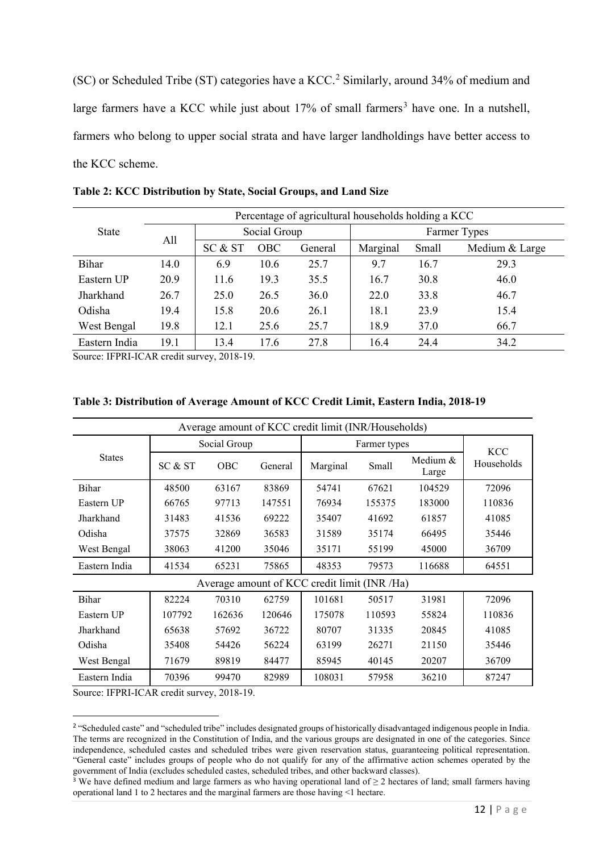(SC) or Scheduled Tribe (ST) categories have a KCC. [2](#page-18-2) Similarly, around 34% of medium and large farmers have a KCC while just about  $17\%$  of small farmers<sup>[3](#page-18-3)</sup> have one. In a nutshell, farmers who belong to upper social strata and have larger landholdings have better access to the KCC scheme.

|               | Percentage of agricultural households holding a KCC |              |            |         |              |       |                |  |
|---------------|-----------------------------------------------------|--------------|------------|---------|--------------|-------|----------------|--|
| <b>State</b>  | All                                                 | Social Group |            |         | Farmer Types |       |                |  |
|               |                                                     | SC & ST      | <b>OBC</b> | General | Marginal     | Small | Medium & Large |  |
| <b>Bihar</b>  | 14.0                                                | 6.9          | 10.6       | 25.7    | 9.7          | 16.7  | 29.3           |  |
| Eastern UP    | 20.9                                                | 11.6         | 19.3       | 35.5    | 16.7         | 30.8  | 46.0           |  |
| Jharkhand     | 26.7                                                | 25.0         | 26.5       | 36.0    | 22.0         | 33.8  | 46.7           |  |
| Odisha        | 19.4                                                | 15.8         | 20.6       | 26.1    | 18.1         | 23.9  | 15.4           |  |
| West Bengal   | 19.8                                                | 12.1         | 25.6       | 25.7    | 18.9         | 37.0  | 66.7           |  |
| Eastern India | 19.1                                                | 13.4         | 17.6       | 27.8    | 16.4         | 24.4  | 34.2           |  |

<span id="page-18-0"></span>**Table 2: KCC Distribution by State, Social Groups, and Land Size**

Source: IFPRI-ICAR credit survey, 2018-19.

| Average amount of KCC credit limit (INR/Households) |         |              |         |                                              |              |                   |            |  |
|-----------------------------------------------------|---------|--------------|---------|----------------------------------------------|--------------|-------------------|------------|--|
|                                                     |         | Social Group |         |                                              | Farmer types |                   | <b>KCC</b> |  |
| <b>States</b>                                       | SC & ST | <b>OBC</b>   | General | Marginal                                     | Small        | Medium &<br>Large | Households |  |
| Bihar                                               | 48500   | 63167        | 83869   | 54741                                        | 67621        | 104529            | 72096      |  |
| Eastern UP                                          | 66765   | 97713        | 147551  | 76934                                        | 155375       | 183000            | 110836     |  |
| Jharkhand                                           | 31483   | 41536        | 69222   | 35407                                        | 41692        | 61857             | 41085      |  |
| Odisha                                              | 37575   | 32869        | 36583   | 31589                                        | 35174        | 66495             | 35446      |  |
| West Bengal                                         | 38063   | 41200        | 35046   | 35171                                        | 55199        | 45000             | 36709      |  |
| Eastern India                                       | 41534   | 65231        | 75865   | 48353                                        | 79573        | 116688            | 64551      |  |
|                                                     |         |              |         | Average amount of KCC credit limit (INR /Ha) |              |                   |            |  |
| <b>Bihar</b>                                        | 82224   | 70310        | 62759   | 101681                                       | 50517        | 31981             | 72096      |  |
| Eastern UP                                          | 107792  | 162636       | 120646  | 175078                                       | 110593       | 55824             | 110836     |  |
| Jharkhand                                           | 65638   | 57692        | 36722   | 80707                                        | 31335        | 20845             | 41085      |  |
| Odisha                                              | 35408   | 54426        | 56224   | 63199                                        | 26271        | 21150             | 35446      |  |
| West Bengal                                         | 71679   | 89819        | 84477   | 85945                                        | 40145        | 20207             | 36709      |  |
| Eastern India                                       | 70396   | 99470        | 82989   | 108031                                       | 57958        | 36210             | 87247      |  |

<span id="page-18-1"></span>

| Table 3: Distribution of Average Amount of KCC Credit Limit, Eastern India, 2018-19 |  |  |  |  |  |
|-------------------------------------------------------------------------------------|--|--|--|--|--|
|                                                                                     |  |  |  |  |  |

Source: IFPRI-ICAR credit survey, 2018-19.

<span id="page-18-2"></span><sup>&</sup>lt;sup>2</sup> "Scheduled caste" and "scheduled tribe" includes designated groups of historically disadvantaged indigenous people in India. The terms are recognized in the Constitution of India, and the various groups are designated in one of the categories. Since independence, scheduled castes and scheduled tribes were given reservation status, guaranteeing political representation. "General caste" includes groups of people who do not qualify for any of the affirmative action schemes operated by the government of India (excludes scheduled castes, scheduled tribes, and other backward classes).

<span id="page-18-3"></span><sup>&</sup>lt;sup>3</sup> We have defined medium and large farmers as who having operational land of  $\geq 2$  hectares of land; small farmers having operational land 1 to 2 hectares and the marginal farmers are those having <1 hectare.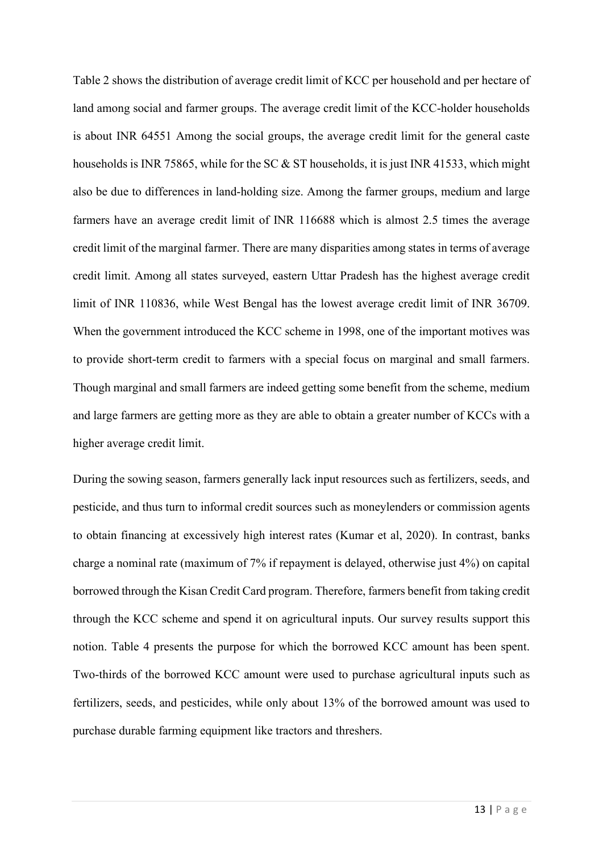Table 2 shows the distribution of average credit limit of KCC per household and per hectare of land among social and farmer groups. The average credit limit of the KCC-holder households is about INR 64551 Among the social groups, the average credit limit for the general caste households is INR 75865, while for the SC & ST households, it is just INR 41533, which might also be due to differences in land-holding size. Among the farmer groups, medium and large farmers have an average credit limit of INR 116688 which is almost 2.5 times the average credit limit of the marginal farmer. There are many disparities among states in terms of average credit limit. Among all states surveyed, eastern Uttar Pradesh has the highest average credit limit of INR 110836, while West Bengal has the lowest average credit limit of INR 36709. When the government introduced the KCC scheme in 1998, one of the important motives was to provide short-term credit to farmers with a special focus on marginal and small farmers. Though marginal and small farmers are indeed getting some benefit from the scheme, medium and large farmers are getting more as they are able to obtain a greater number of KCCs with a higher average credit limit.

During the sowing season, farmers generally lack input resources such as fertilizers, seeds, and pesticide, and thus turn to informal credit sources such as moneylenders or commission agents to obtain financing at excessively high interest rates (Kumar et al, 2020). In contrast, banks charge a nominal rate (maximum of 7% if repayment is delayed, otherwise just 4%) on capital borrowed through the Kisan Credit Card program. Therefore, farmers benefit from taking credit through the KCC scheme and spend it on agricultural inputs. Our survey results support this notion. Table 4 presents the purpose for which the borrowed KCC amount has been spent. Two-thirds of the borrowed KCC amount were used to purchase agricultural inputs such as fertilizers, seeds, and pesticides, while only about 13% of the borrowed amount was used to purchase durable farming equipment like tractors and threshers.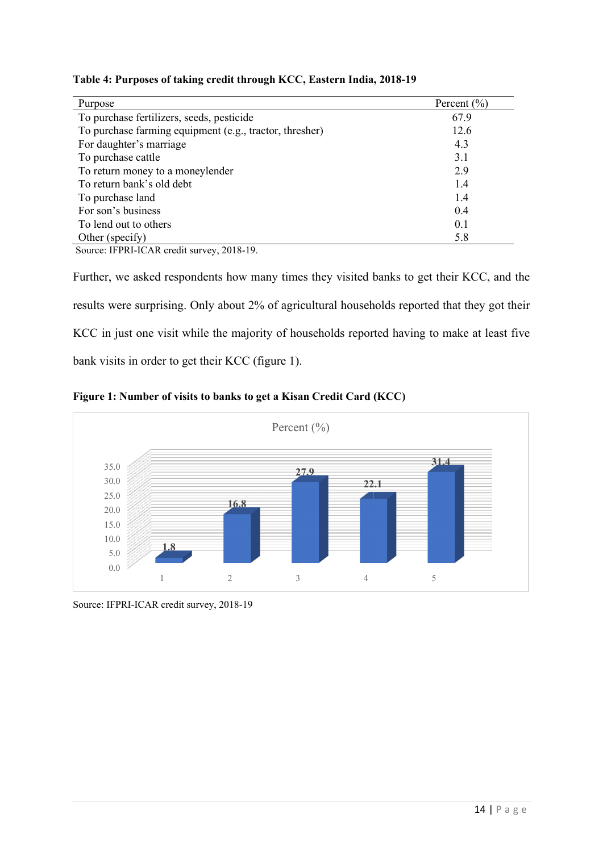| Purpose                                                 | Percent $(\% )$ |
|---------------------------------------------------------|-----------------|
| To purchase fertilizers, seeds, pesticide               | 67.9            |
| To purchase farming equipment (e.g., tractor, thresher) | 12.6            |
| For daughter's marriage                                 | 4.3             |
| To purchase cattle                                      | 3.1             |
| To return money to a moneylender                        | 2.9             |
| To return bank's old debt                               | 1.4             |
| To purchase land                                        | 1.4             |
| For son's business                                      | 0.4             |
| To lend out to others                                   | 0.1             |
| Other (specify)                                         | 5.8             |

<span id="page-20-0"></span>**Table 4: Purposes of taking credit through KCC, Eastern India, 2018-19**

Source: IFPRI-ICAR credit survey, 2018-19.

Further, we asked respondents how many times they visited banks to get their KCC, and the results were surprising. Only about 2% of agricultural households reported that they got their KCC in just one visit while the majority of households reported having to make at least five bank visits in order to get their KCC (figure 1).

<span id="page-20-1"></span>**Figure 1: Number of visits to banks to get a Kisan Credit Card (KCC)**



Source: IFPRI-ICAR credit survey, 2018-19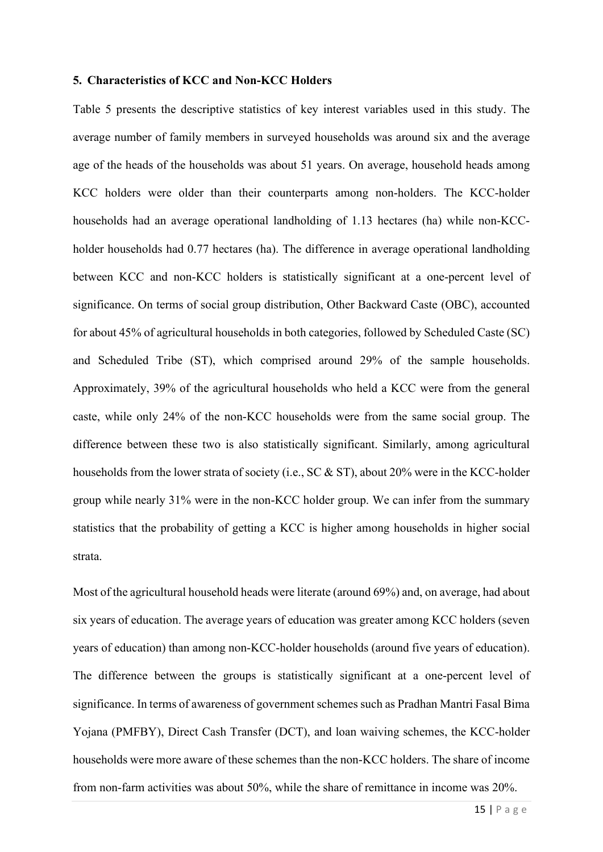#### <span id="page-21-0"></span>**5. Characteristics of KCC and Non-KCC Holders**

Table 5 presents the descriptive statistics of key interest variables used in this study. The average number of family members in surveyed households was around six and the average age of the heads of the households was about 51 years. On average, household heads among KCC holders were older than their counterparts among non-holders. The KCC-holder households had an average operational landholding of 1.13 hectares (ha) while non-KCCholder households had 0.77 hectares (ha). The difference in average operational landholding between KCC and non-KCC holders is statistically significant at a one-percent level of significance. On terms of social group distribution, Other Backward Caste (OBC), accounted for about 45% of agricultural households in both categories, followed by Scheduled Caste (SC) and Scheduled Tribe (ST), which comprised around 29% of the sample households. Approximately, 39% of the agricultural households who held a KCC were from the general caste, while only 24% of the non-KCC households were from the same social group. The difference between these two is also statistically significant. Similarly, among agricultural households from the lower strata of society (i.e., SC & ST), about 20% were in the KCC-holder group while nearly 31% were in the non-KCC holder group. We can infer from the summary statistics that the probability of getting a KCC is higher among households in higher social strata.

Most of the agricultural household heads were literate (around 69%) and, on average, had about six years of education. The average years of education was greater among KCC holders (seven years of education) than among non-KCC-holder households (around five years of education). The difference between the groups is statistically significant at a one-percent level of significance. In terms of awareness of government schemes such as Pradhan Mantri Fasal Bima Yojana (PMFBY), Direct Cash Transfer (DCT), and loan waiving schemes, the KCC-holder households were more aware of these schemes than the non-KCC holders. The share of income from non-farm activities was about 50%, while the share of remittance in income was 20%.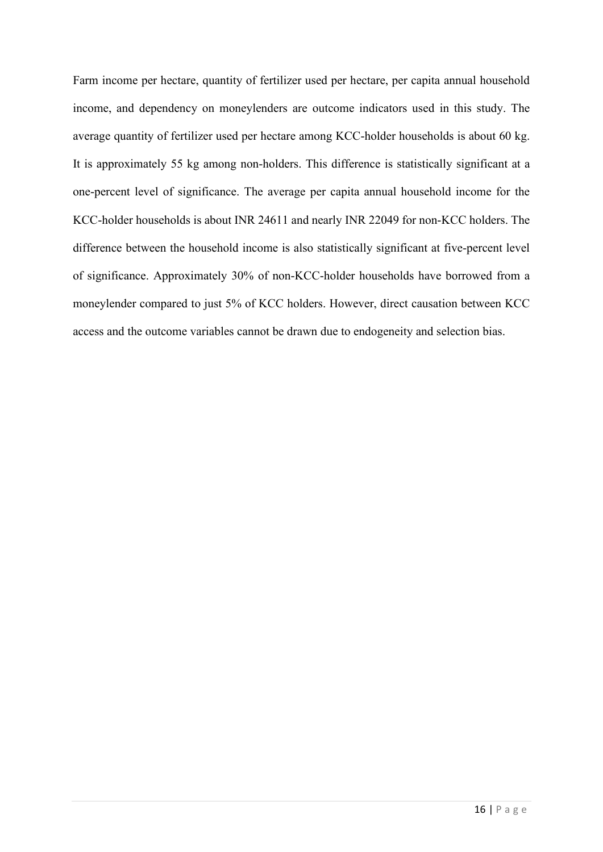Farm income per hectare, quantity of fertilizer used per hectare, per capita annual household income, and dependency on moneylenders are outcome indicators used in this study. The average quantity of fertilizer used per hectare among KCC-holder households is about 60 kg. It is approximately 55 kg among non-holders. This difference is statistically significant at a one-percent level of significance. The average per capita annual household income for the KCC-holder households is about INR 24611 and nearly INR 22049 for non-KCC holders. The difference between the household income is also statistically significant at five-percent level of significance. Approximately 30% of non-KCC-holder households have borrowed from a moneylender compared to just 5% of KCC holders. However, direct causation between KCC access and the outcome variables cannot be drawn due to endogeneity and selection bias.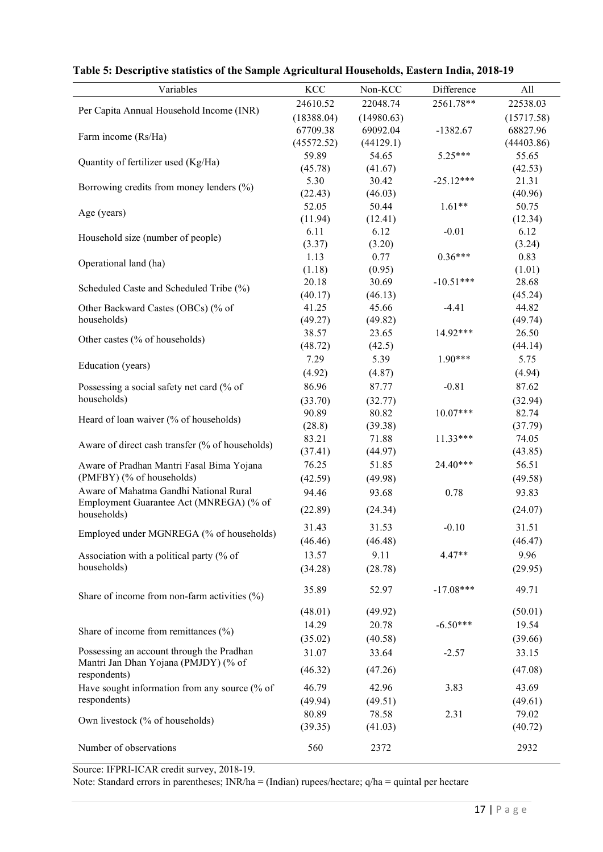| Variables                                            | KCC        | Non-KCC    | Difference  | All        |
|------------------------------------------------------|------------|------------|-------------|------------|
|                                                      | 24610.52   | 22048.74   | 2561.78**   | 22538.03   |
| Per Capita Annual Household Income (INR)             | (18388.04) | (14980.63) |             | (15717.58) |
|                                                      | 67709.38   | 69092.04   | $-1382.67$  | 68827.96   |
| Farm income (Rs/Ha)                                  | (45572.52) | (44129.1)  |             | (44403.86) |
|                                                      | 59.89      | 54.65      | 5.25***     | 55.65      |
| Quantity of fertilizer used (Kg/Ha)                  | (45.78)    | (41.67)    |             | (42.53)    |
|                                                      | 5.30       | 30.42      | $-25.12***$ | 21.31      |
| Borrowing credits from money lenders (%)             | (22.43)    | (46.03)    |             | (40.96)    |
|                                                      | 52.05      | 50.44      | $1.61**$    | 50.75      |
| Age (years)                                          | (11.94)    | (12.41)    |             | (12.34)    |
| Household size (number of people)                    | 6.11       | 6.12       | $-0.01$     | 6.12       |
|                                                      | (3.37)     | (3.20)     |             | (3.24)     |
| Operational land (ha)                                | 1.13       | 0.77       | $0.36***$   | 0.83       |
|                                                      | (1.18)     | (0.95)     |             | (1.01)     |
| Scheduled Caste and Scheduled Tribe (%)              | 20.18      | 30.69      | $-10.51***$ | 28.68      |
|                                                      | (40.17)    | (46.13)    |             | (45.24)    |
| Other Backward Castes (OBCs) (% of                   | 41.25      | 45.66      | $-4.41$     | 44.82      |
| households)                                          | (49.27)    | (49.82)    |             | (49.74)    |
| Other castes (% of households)                       | 38.57      | 23.65      | 14.92***    | 26.50      |
|                                                      | (48.72)    | (42.5)     |             | (44.14)    |
| Education (years)                                    | 7.29       | 5.39       | $1.90***$   | 5.75       |
|                                                      | (4.92)     | (4.87)     |             | (4.94)     |
| Possessing a social safety net card (% of            | 86.96      | 87.77      | $-0.81$     | 87.62      |
| households)                                          | (33.70)    | (32.77)    |             | (32.94)    |
|                                                      | 90.89      | 80.82      | $10.07***$  | 82.74      |
| Heard of loan waiver (% of households)               | (28.8)     | (39.38)    |             | (37.79)    |
|                                                      | 83.21      | 71.88      | $11.33***$  | 74.05      |
| Aware of direct cash transfer (% of households)      | (37.41)    | (44.97)    |             | (43.85)    |
| Aware of Pradhan Mantri Fasal Bima Yojana            | 76.25      | 51.85      | 24.40***    | 56.51      |
| (PMFBY) (% of households)                            | (42.59)    | (49.98)    |             | (49.58)    |
| Aware of Mahatma Gandhi National Rural               | 94.46      | 93.68      | 0.78        | 93.83      |
| Employment Guarantee Act (MNREGA) (% of              | (22.89)    | (24.34)    |             | (24.07)    |
| households)                                          |            |            |             |            |
| Employed under MGNREGA (% of households)             | 31.43      | 31.53      | $-0.10$     | 31.51      |
|                                                      | (46.46)    | (46.48)    |             | (46.47)    |
| Association with a political party (% of             | 13.57      | 9.11       | $4.47**$    | 9.96       |
| households)                                          | (34.28)    | (28.78)    |             | (29.95)    |
|                                                      | 35.89      | 52.97      | $-17.08***$ | 49.71      |
| Share of income from non-farm activities $(\%)$      |            |            |             |            |
|                                                      | (48.01)    | (49.92)    |             | (50.01)    |
| Share of income from remittances $(\%)$              | 14.29      | 20.78      | $-6.50***$  | 19.54      |
|                                                      | (35.02)    | (40.58)    |             | (39.66)    |
| Possessing an account through the Pradhan            | 31.07      | 33.64      | $-2.57$     | 33.15      |
| Mantri Jan Dhan Yojana (PMJDY) (% of<br>respondents) | (46.32)    | (47.26)    |             | (47.08)    |
| Have sought information from any source (% of        | 46.79      | 42.96      | 3.83        | 43.69      |
| respondents)                                         | (49.94)    | (49.51)    |             | (49.61)    |
|                                                      | 80.89      | 78.58      | 2.31        | 79.02      |
| Own livestock (% of households)                      | (39.35)    | (41.03)    |             | (40.72)    |
| Number of observations                               | 560        | 2372       |             | 2932       |

## <span id="page-23-0"></span>**Table 5: Descriptive statistics of the Sample Agricultural Households, Eastern India, 2018-19**

Source: IFPRI-ICAR credit survey, 2018-19.

Note: Standard errors in parentheses; INR/ha = (Indian) rupees/hectare; q/ha = quintal per hectare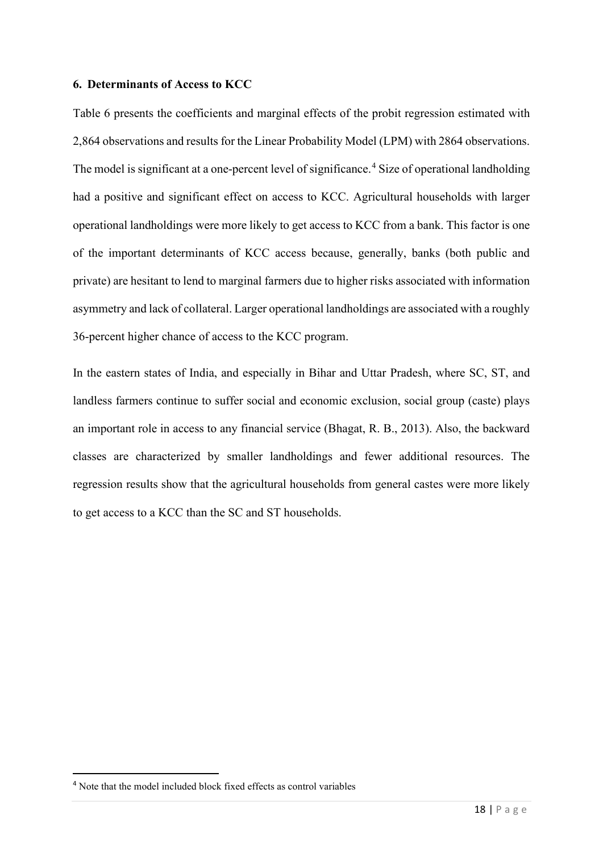#### <span id="page-24-0"></span>**6. Determinants of Access to KCC**

Table 6 presents the coefficients and marginal effects of the probit regression estimated with 2,864 observations and results for the Linear Probability Model (LPM) with 2864 observations. The model is significant at a one-percent level of significance.<sup>[4](#page-24-1)</sup> Size of operational landholding had a positive and significant effect on access to KCC. Agricultural households with larger operational landholdings were more likely to get access to KCC from a bank. This factor is one of the important determinants of KCC access because, generally, banks (both public and private) are hesitant to lend to marginal farmers due to higher risks associated with information asymmetry and lack of collateral. Larger operational landholdings are associated with a roughly 36-percent higher chance of access to the KCC program.

In the eastern states of India, and especially in Bihar and Uttar Pradesh, where SC, ST, and landless farmers continue to suffer social and economic exclusion, social group (caste) plays an important role in access to any financial service (Bhagat, R. B., 2013). Also, the backward classes are characterized by smaller landholdings and fewer additional resources. The regression results show that the agricultural households from general castes were more likely to get access to a KCC than the SC and ST households.

<span id="page-24-1"></span><sup>&</sup>lt;sup>4</sup> Note that the model included block fixed effects as control variables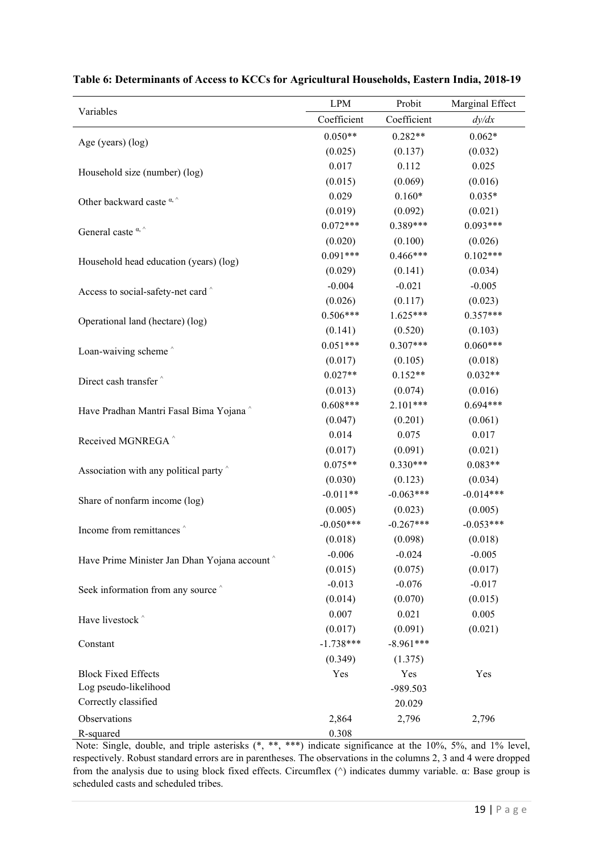|                                                     | <b>LPM</b>  | Probit      | Marginal Effect |
|-----------------------------------------------------|-------------|-------------|-----------------|
| Variables                                           | Coefficient | Coefficient | dy/dx           |
|                                                     | $0.050**$   | $0.282**$   | $0.062*$        |
| Age (years) (log)                                   | (0.025)     | (0.137)     | (0.032)         |
|                                                     | 0.017       | 0.112       | 0.025           |
| Household size (number) (log)                       | (0.015)     | (0.069)     | (0.016)         |
| Other backward caste $a, a$                         | 0.029       | $0.160*$    | $0.035*$        |
|                                                     | (0.019)     | (0.092)     | (0.021)         |
| General caste $\alpha$ , $\alpha$                   | $0.072***$  | 0.389***    | $0.093***$      |
|                                                     | (0.020)     | (0.100)     | (0.026)         |
|                                                     | $0.091***$  | $0.466***$  | $0.102***$      |
| Household head education (years) (log)              | (0.029)     | (0.141)     | (0.034)         |
|                                                     | $-0.004$    | $-0.021$    | $-0.005$        |
| Access to social-safety-net card ^                  | (0.026)     | (0.117)     | (0.023)         |
|                                                     | $0.506***$  | $1.625***$  | $0.357***$      |
| Operational land (hectare) (log)                    | (0.141)     | (0.520)     | (0.103)         |
|                                                     | $0.051***$  | $0.307***$  | $0.060***$      |
| Loan-waiving scheme <sup><math>\hat{ }</math></sup> | (0.017)     | (0.105)     | (0.018)         |
|                                                     | $0.027**$   | $0.152**$   | $0.032**$       |
| Direct cash transfer ^                              | (0.013)     | (0.074)     | (0.016)         |
|                                                     | $0.608***$  | $2.101***$  | $0.694***$      |
| Have Pradhan Mantri Fasal Bima Yojana $^\wedge$     | (0.047)     | (0.201)     | (0.061)         |
|                                                     | 0.014       | 0.075       | 0.017           |
| Received MGNREGA <sup>^</sup>                       | (0.017)     | (0.091)     | (0.021)         |
|                                                     | $0.075**$   | $0.330***$  | $0.083**$       |
| Association with any political party ^              | (0.030)     | (0.123)     | (0.034)         |
|                                                     | $-0.011**$  | $-0.063***$ | $-0.014***$     |
| Share of nonfarm income (log)                       | (0.005)     | (0.023)     | (0.005)         |
|                                                     | $-0.050***$ | $-0.267***$ | $-0.053***$     |
| Income from remittances ^                           | (0.018)     | (0.098)     | (0.018)         |
|                                                     | $-0.006$    | $-0.024$    | $-0.005$        |
| Have Prime Minister Jan Dhan Yojana account         | (0.015)     | (0.075)     | (0.017)         |
| Seek information from any source ^                  | $-0.013$    | $-0.076$    | $-0.017$        |
|                                                     | (0.014)     | (0.070)     | (0.015)         |
| Have livestock ^                                    | 0.007       | 0.021       | 0.005           |
|                                                     | (0.017)     | (0.091)     | (0.021)         |
| Constant                                            | $-1.738***$ | $-8.961***$ |                 |
|                                                     | (0.349)     | (1.375)     |                 |
| <b>Block Fixed Effects</b>                          | Yes         | Yes         | Yes             |
| Log pseudo-likelihood                               |             | -989.503    |                 |
| Correctly classified                                |             | 20.029      |                 |
| Observations                                        | 2,864       | 2,796       | 2,796           |
| R-squared                                           | 0.308       |             |                 |

<span id="page-25-0"></span>

| Table 6: Determinants of Access to KCCs for Agricultural Households, Eastern India, 2018-19 |  |  |  |
|---------------------------------------------------------------------------------------------|--|--|--|
|                                                                                             |  |  |  |

Note: Single, double, and triple asterisks (\*, \*\*, \*\*\*) indicate significance at the 10%, 5%, and 1% level, respectively. Robust standard errors are in parentheses. The observations in the columns 2, 3 and 4 were dropped from the analysis due to using block fixed effects. Circumflex (^) indicates dummy variable. α: Base group is scheduled casts and scheduled tribes.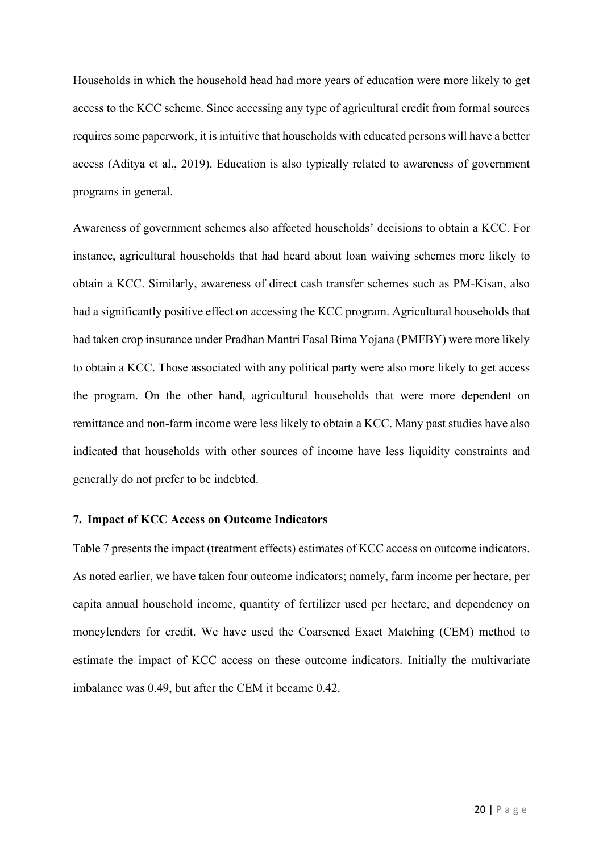Households in which the household head had more years of education were more likely to get access to the KCC scheme. Since accessing any type of agricultural credit from formal sources requires some paperwork, it is intuitive that households with educated persons will have a better access (Aditya et al., 2019). Education is also typically related to awareness of government programs in general.

Awareness of government schemes also affected households' decisions to obtain a KCC. For instance, agricultural households that had heard about loan waiving schemes more likely to obtain a KCC. Similarly, awareness of direct cash transfer schemes such as PM-Kisan, also had a significantly positive effect on accessing the KCC program. Agricultural households that had taken crop insurance under Pradhan Mantri Fasal Bima Yojana (PMFBY) were more likely to obtain a KCC. Those associated with any political party were also more likely to get access the program. On the other hand, agricultural households that were more dependent on remittance and non-farm income were less likely to obtain a KCC. Many past studies have also indicated that households with other sources of income have less liquidity constraints and generally do not prefer to be indebted.

#### <span id="page-26-0"></span>**7. Impact of KCC Access on Outcome Indicators**

Table 7 presents the impact (treatment effects) estimates of KCC access on outcome indicators. As noted earlier, we have taken four outcome indicators; namely, farm income per hectare, per capita annual household income, quantity of fertilizer used per hectare, and dependency on moneylenders for credit. We have used the Coarsened Exact Matching (CEM) method to estimate the impact of KCC access on these outcome indicators. Initially the multivariate imbalance was 0.49, but after the CEM it became 0.42.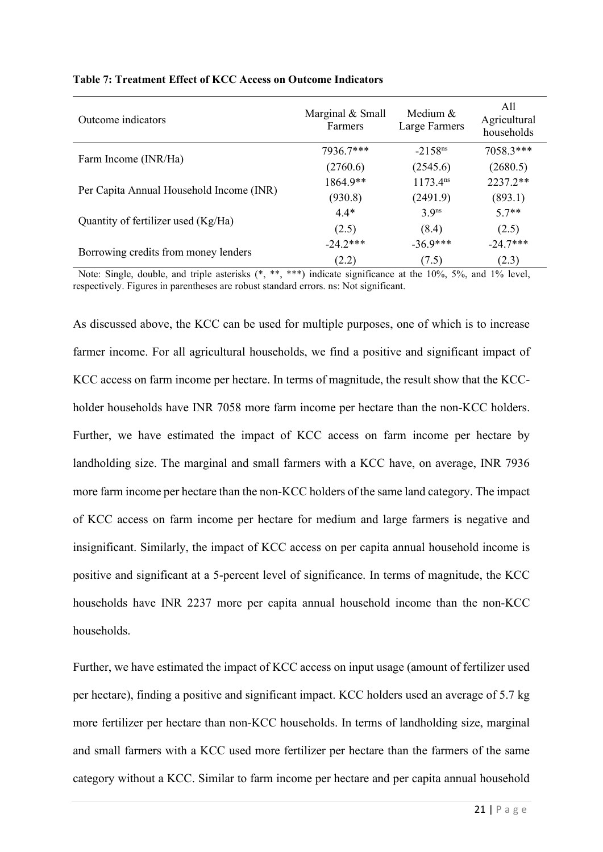| Outcome indicators                       | Marginal & Small<br>Farmers | Medium $&$<br>Large Farmers | All<br>Agricultural<br>households |
|------------------------------------------|-----------------------------|-----------------------------|-----------------------------------|
| Farm Income (INR/Ha)                     | 7936.7***                   | $-2158$ <sup>ns</sup>       | 7058.3***                         |
|                                          | (2760.6)                    | (2545.6)                    | (2680.5)                          |
| Per Capita Annual Household Income (INR) | 1864.9**                    | 1173.4 <sup>ns</sup>        | 2237.2**                          |
|                                          | (930.8)                     | (2491.9)                    | (893.1)                           |
| Quantity of fertilizer used (Kg/Ha)      | $4.4*$                      | 3.9 <sup>ns</sup>           | $5.7**$                           |
|                                          | (2.5)                       | (8.4)                       | (2.5)                             |
| Borrowing credits from money lenders     | $-24.2***$                  | $-36.9***$                  | $-24.7***$                        |
|                                          | (2.2)                       | (7.5)                       | (2.3)                             |

#### <span id="page-27-0"></span>**Table 7: Treatment Effect of KCC Access on Outcome Indicators**

Note: Single, double, and triple asterisks  $(*, **, ***)$  indicate significance at the 10%, 5%, and 1% level, respectively. Figures in parentheses are robust standard errors. ns: Not significant.

As discussed above, the KCC can be used for multiple purposes, one of which is to increase farmer income. For all agricultural households, we find a positive and significant impact of KCC access on farm income per hectare. In terms of magnitude, the result show that the KCCholder households have INR 7058 more farm income per hectare than the non-KCC holders. Further, we have estimated the impact of KCC access on farm income per hectare by landholding size. The marginal and small farmers with a KCC have, on average, INR 7936 more farm income per hectare than the non-KCC holders of the same land category. The impact of KCC access on farm income per hectare for medium and large farmers is negative and insignificant. Similarly, the impact of KCC access on per capita annual household income is positive and significant at a 5-percent level of significance. In terms of magnitude, the KCC households have INR 2237 more per capita annual household income than the non-KCC households.

Further, we have estimated the impact of KCC access on input usage (amount of fertilizer used per hectare), finding a positive and significant impact. KCC holders used an average of 5.7 kg more fertilizer per hectare than non-KCC households. In terms of landholding size, marginal and small farmers with a KCC used more fertilizer per hectare than the farmers of the same category without a KCC. Similar to farm income per hectare and per capita annual household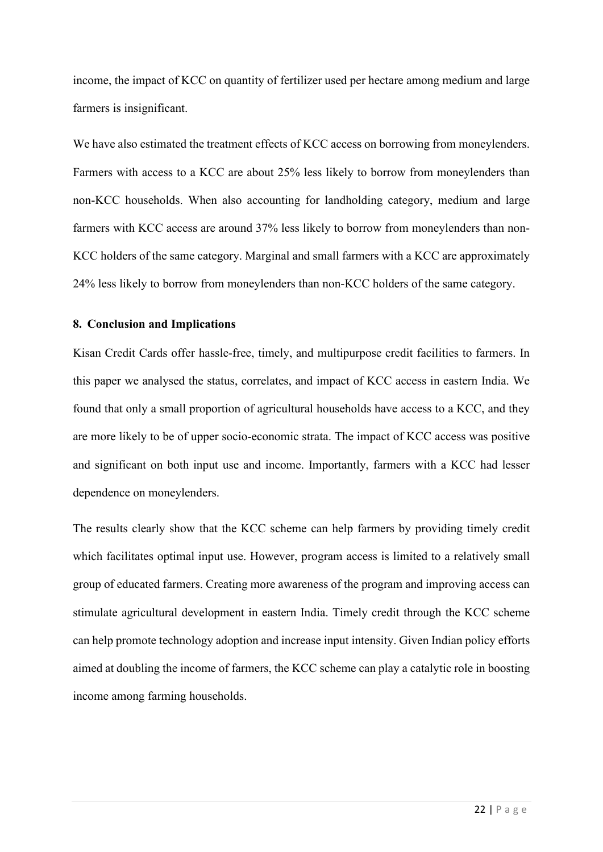income, the impact of KCC on quantity of fertilizer used per hectare among medium and large farmers is insignificant.

We have also estimated the treatment effects of KCC access on borrowing from moneylenders. Farmers with access to a KCC are about 25% less likely to borrow from moneylenders than non-KCC households. When also accounting for landholding category, medium and large farmers with KCC access are around 37% less likely to borrow from moneylenders than non-KCC holders of the same category. Marginal and small farmers with a KCC are approximately 24% less likely to borrow from moneylenders than non-KCC holders of the same category.

#### <span id="page-28-0"></span>**8. Conclusion and Implications**

Kisan Credit Cards offer hassle-free, timely, and multipurpose credit facilities to farmers. In this paper we analysed the status, correlates, and impact of KCC access in eastern India. We found that only a small proportion of agricultural households have access to a KCC, and they are more likely to be of upper socio-economic strata. The impact of KCC access was positive and significant on both input use and income. Importantly, farmers with a KCC had lesser dependence on moneylenders.

The results clearly show that the KCC scheme can help farmers by providing timely credit which facilitates optimal input use. However, program access is limited to a relatively small group of educated farmers. Creating more awareness of the program and improving access can stimulate agricultural development in eastern India. Timely credit through the KCC scheme can help promote technology adoption and increase input intensity. Given Indian policy efforts aimed at doubling the income of farmers, the KCC scheme can play a catalytic role in boosting income among farming households.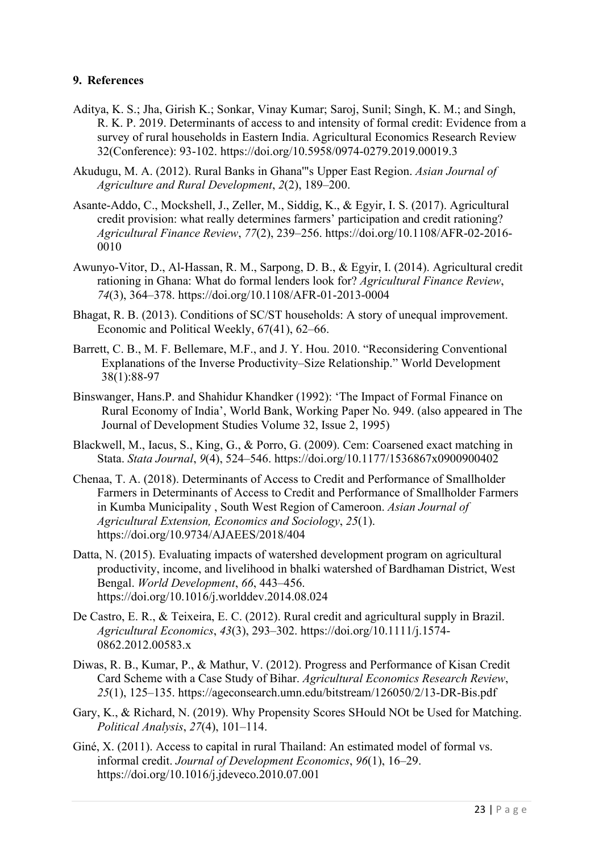### <span id="page-29-0"></span>**9. References**

- Aditya, K. S.; Jha, Girish K.; Sonkar, Vinay Kumar; Saroj, Sunil; Singh, K. M.; and Singh, R. K. P. 2019. Determinants of access to and intensity of formal credit: Evidence from a survey of rural households in Eastern India. Agricultural Economics Research Review 32(Conference): 93-102.<https://doi.org/10.5958/0974-0279.2019.00019.3>
- Akudugu, M. A. (2012). Rural Banks in Ghana'"s Upper East Region. *Asian Journal of Agriculture and Rural Development*, *2*(2), 189–200.
- Asante-Addo, C., Mockshell, J., Zeller, M., Siddig, K., & Egyir, I. S. (2017). Agricultural credit provision: what really determines farmers' participation and credit rationing? *Agricultural Finance Review*, *77*(2), 239–256. https://doi.org/10.1108/AFR-02-2016- 0010
- Awunyo-Vitor, D., Al-Hassan, R. M., Sarpong, D. B., & Egyir, I. (2014). Agricultural credit rationing in Ghana: What do formal lenders look for? *Agricultural Finance Review*, *74*(3), 364–378. https://doi.org/10.1108/AFR-01-2013-0004
- Bhagat, R. B. (2013). Conditions of SC/ST households: A story of unequal improvement. Economic and Political Weekly, 67(41), 62–66.
- Barrett, C. B., M. F. Bellemare, M.F., and J. Y. Hou. 2010. "Reconsidering Conventional Explanations of the Inverse Productivity–Size Relationship." World Development 38(1):88-97
- Binswanger, Hans.P. and Shahidur Khandker (1992): 'The Impact of Formal Finance on Rural Economy of India', World Bank, Working Paper No. 949. (also appeared in The Journal of Development Studies Volume 32, Issue 2, 1995)
- Blackwell, M., Iacus, S., King, G., & Porro, G. (2009). Cem: Coarsened exact matching in Stata. *Stata Journal*, *9*(4), 524–546.<https://doi.org/10.1177/1536867x0900900402>
- Chenaa, T. A. (2018). Determinants of Access to Credit and Performance of Smallholder Farmers in Determinants of Access to Credit and Performance of Smallholder Farmers in Kumba Municipality , South West Region of Cameroon. *Asian Journal of Agricultural Extension, Economics and Sociology*, *25*(1). https://doi.org/10.9734/AJAEES/2018/404
- Datta, N. (2015). Evaluating impacts of watershed development program on agricultural productivity, income, and livelihood in bhalki watershed of Bardhaman District, West Bengal. *World Development*, *66*, 443–456. <https://doi.org/10.1016/j.worlddev.2014.08.024>
- De Castro, E. R., & Teixeira, E. C. (2012). Rural credit and agricultural supply in Brazil. *Agricultural Economics*, *43*(3), 293–302. https://doi.org/10.1111/j.1574- 0862.2012.00583.x
- Diwas, R. B., Kumar, P., & Mathur, V. (2012). Progress and Performance of Kisan Credit Card Scheme with a Case Study of Bihar. *Agricultural Economics Research Review*, *25*(1), 125–135. https://ageconsearch.umn.edu/bitstream/126050/2/13-DR-Bis.pdf
- Gary, K., & Richard, N. (2019). Why Propensity Scores SHould NOt be Used for Matching. *Political Analysis*, *27*(4), 101–114.
- Giné, X. (2011). Access to capital in rural Thailand: An estimated model of formal vs. informal credit. *Journal of Development Economics*, *96*(1), 16–29. https://doi.org/10.1016/j.jdeveco.2010.07.001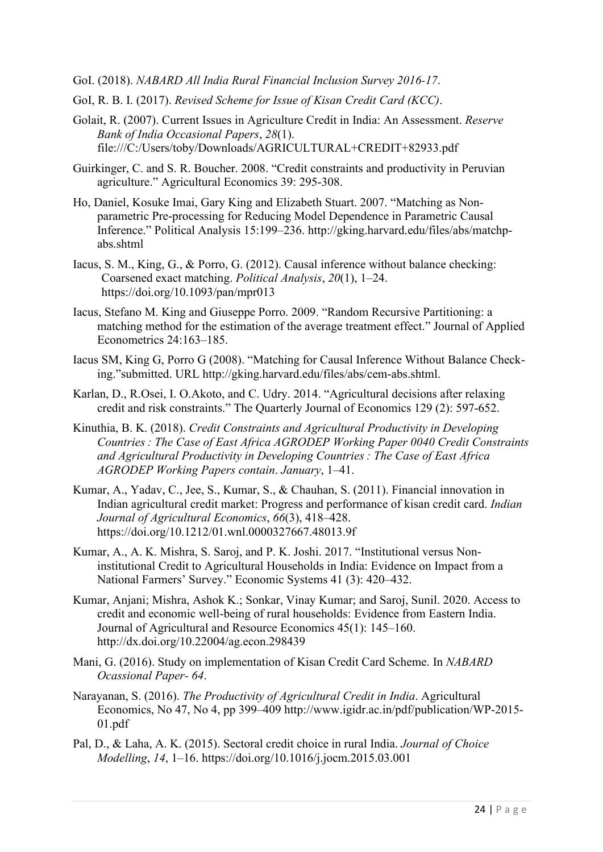- GoI. (2018). *NABARD All India Rural Financial Inclusion Survey 2016-17*.
- GoI, R. B. I. (2017). *Revised Scheme for Issue of Kisan Credit Card (KCC)*.
- Golait, R. (2007). Current Issues in Agriculture Credit in India: An Assessment. *Reserve Bank of India Occasional Papers*, *28*(1). file:///C:/Users/toby/Downloads/AGRICULTURAL+CREDIT+82933.pdf
- Guirkinger, C. and S. R. Boucher. 2008. "Credit constraints and productivity in Peruvian agriculture." Agricultural Economics 39: 295-308.
- Ho, Daniel, Kosuke Imai, Gary King and Elizabeth Stuart. 2007. "Matching as Nonparametric Pre-processing for Reducing Model Dependence in Parametric Causal Inference." Political Analysis 15:199–236. [http://gking.harvard.edu/files/abs/matchp](http://gking.harvard.edu/files/abs/matchp-abs.shtml)[abs.shtml](http://gking.harvard.edu/files/abs/matchp-abs.shtml)
- Iacus, S. M., King, G., & Porro, G. (2012). Causal inference without balance checking: Coarsened exact matching. *Political Analysis*, *20*(1), 1–24. <https://doi.org/10.1093/pan/mpr013>
- Iacus, Stefano M. King and Giuseppe Porro. 2009. "Random Recursive Partitioning: a matching method for the estimation of the average treatment effect." Journal of Applied Econometrics 24:163–185.
- Iacus SM, King G, Porro G (2008). "Matching for Causal Inference Without Balance Checking."submitted. URL http://gking.harvard.edu/files/abs/cem-abs.shtml.
- Karlan, D., R.Osei, I. O.Akoto, and C. Udry. 2014. "Agricultural decisions after relaxing credit and risk constraints." The Quarterly Journal of Economics 129 (2): 597-652.
- Kinuthia, B. K. (2018). *Credit Constraints and Agricultural Productivity in Developing Countries : The Case of East Africa AGRODEP Working Paper 0040 Credit Constraints and Agricultural Productivity in Developing Countries : The Case of East Africa AGRODEP Working Papers contain*. *January*, 1–41.
- Kumar, A., Yadav, C., Jee, S., Kumar, S., & Chauhan, S. (2011). Financial innovation in Indian agricultural credit market: Progress and performance of kisan credit card. *Indian Journal of Agricultural Economics*, *66*(3), 418–428. https://doi.org/10.1212/01.wnl.0000327667.48013.9f
- Kumar, A., A. K. Mishra, S. Saroj, and P. K. Joshi. 2017. "Institutional versus Noninstitutional Credit to Agricultural Households in India: Evidence on Impact from a National Farmers' Survey." Economic Systems 41 (3): 420–432.
- Kumar, Anjani; Mishra, Ashok K.; Sonkar, Vinay Kumar; and Saroj, Sunil. 2020. Access to credit and economic well-being of rural households: Evidence from Eastern India. Journal of Agricultural and Resource Economics 45(1): 145–160. http://dx.doi.org/10.22004/ag.econ.298439
- Mani, G. (2016). Study on implementation of Kisan Credit Card Scheme. In *NABARD Ocassional Paper- 64*.
- Narayanan, S. (2016). *The Productivity of Agricultural Credit in India*. Agricultural Economics, No 47, No 4, pp 399–409 http://www.igidr.ac.in/pdf/publication/WP-2015- 01.pdf
- Pal, D., & Laha, A. K. (2015). Sectoral credit choice in rural India. *Journal of Choice Modelling*, *14*, 1–16. https://doi.org/10.1016/j.jocm.2015.03.001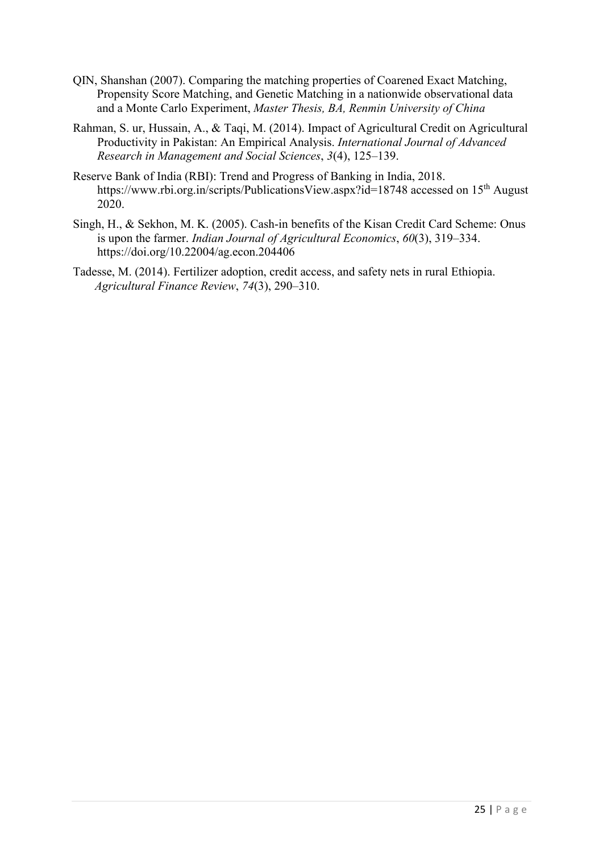- QIN, Shanshan (2007). Comparing the matching properties of Coarened Exact Matching, Propensity Score Matching, and Genetic Matching in a nationwide observational data and a Monte Carlo Experiment, *Master Thesis, BA, Renmin University of China*
- Rahman, S. ur, Hussain, A., & Taqi, M. (2014). Impact of Agricultural Credit on Agricultural Productivity in Pakistan: An Empirical Analysis. *International Journal of Advanced Research in Management and Social Sciences*, *3*(4), 125–139.
- Reserve Bank of India (RBI): Trend and Progress of Banking in India, 2018. https://www.rbi.org.in/scripts/PublicationsView.aspx?id=18748 accessed on 15<sup>th</sup> August 2020.
- Singh, H., & Sekhon, M. K. (2005). Cash-in benefits of the Kisan Credit Card Scheme: Onus is upon the farmer. *Indian Journal of Agricultural Economics*, *60*(3), 319–334. https://doi.org/10.22004/ag.econ.204406
- Tadesse, M. (2014). Fertilizer adoption, credit access, and safety nets in rural Ethiopia. *Agricultural Finance Review*, *74*(3), 290–310.